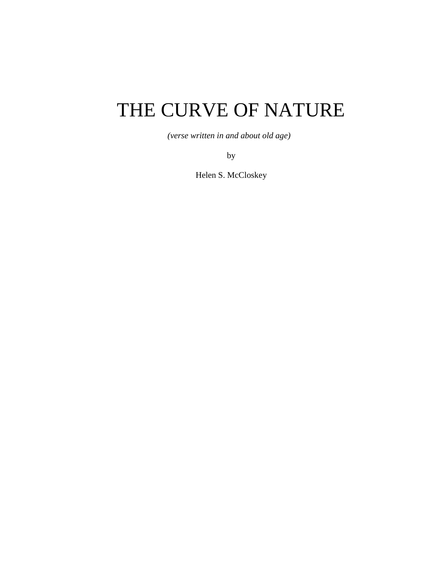# THE CURVE OF NATURE

*(verse written in and about old age)* 

by

Helen S. McCloskey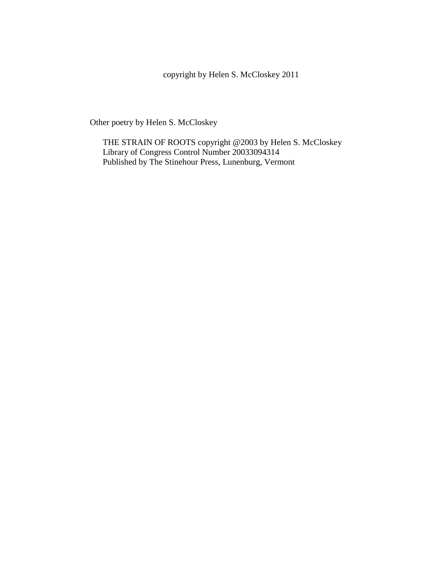copyright by Helen S. McCloskey 2011

Other poetry by Helen S. McCloskey

THE STRAIN OF ROOTS copyright @2003 by Helen S. McCloskey Library of Congress Control Number 20033094314 Published by The Stinehour Press, Lunenburg, Vermont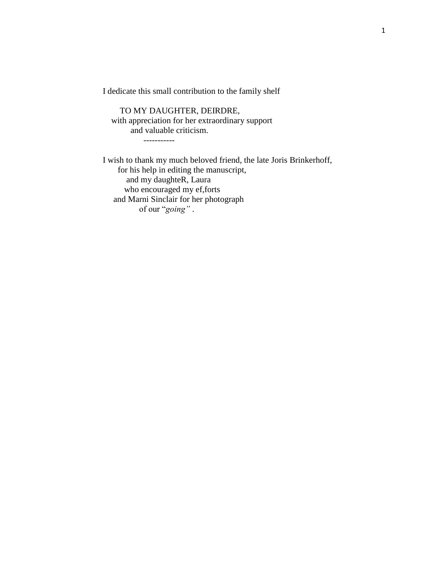I dedicate this small contribution to the family shelf

 TO MY DAUGHTER, DEIRDRE, with appreciation for her extraordinary support and valuable criticism. -----------

I wish to thank my much beloved friend, the late Joris Brinkerhoff, for his help in editing the manuscript, and my daughteR, Laura who encouraged my ef, forts and Marni Sinclair for her photograph of our "*going"* .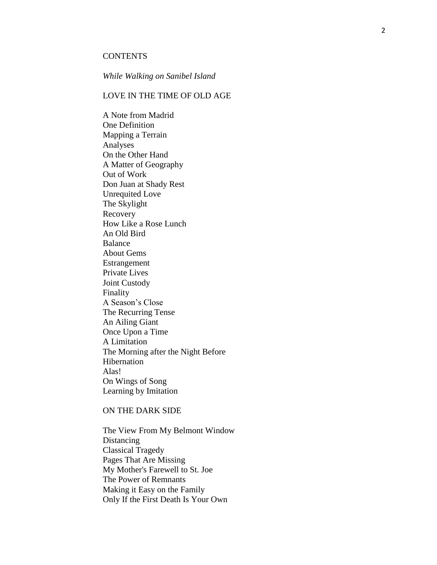## **CONTENTS**

#### *While Walking on Sanibel Island*

# LOVE IN THE TIME OF OLD AGE

A Note from Madrid One Definition Mapping a Terrain Analyses On the Other Hand A Matter of Geography Out of Work Don Juan at Shady Rest Unrequited Love The Skylight Recovery How Like a Rose Lunch An Old Bird Balance About Gems Estrangement Private Lives Joint Custody Finality A Season's Close The Recurring Tense An Ailing Giant Once Upon a Time A Limitation The Morning after the Night Before Hibernation Alas! On Wings of Song Learning by Imitation

#### ON THE DARK SIDE

The View From My Belmont Window Distancing Classical Tragedy Pages That Are Missing My Mother's Farewell to St. Joe The Power of Remnants Making it Easy on the Family Only If the First Death Is Your Own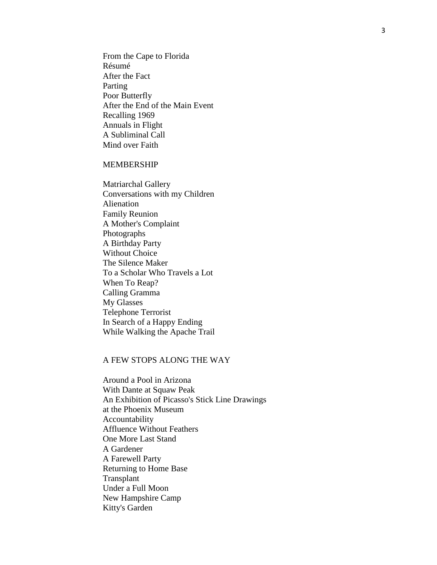From the Cape to Florida Résumé After the Fact Parting Poor Butterfly After the End of the Main Event Recalling 1969 Annuals in Flight A Subliminal Call Mind over Faith

# MEMBERSHIP

Matriarchal Gallery Conversations with my Children Alienation Family Reunion A Mother's Complaint Photographs A Birthday Party Without Choice The Silence Maker To a Scholar Who Travels a Lot When To Reap? Calling Gramma My Glasses Telephone Terrorist In Search of a Happy Ending While Walking the Apache Trail

#### A FEW STOPS ALONG THE WAY

Around a Pool in Arizona With Dante at Squaw Peak An Exhibition of Picasso's Stick Line Drawings at the Phoenix Museum Accountability Affluence Without Feathers One More Last Stand A Gardener A Farewell Party Returning to Home Base Transplant Under a Full Moon New Hampshire Camp Kitty's Garden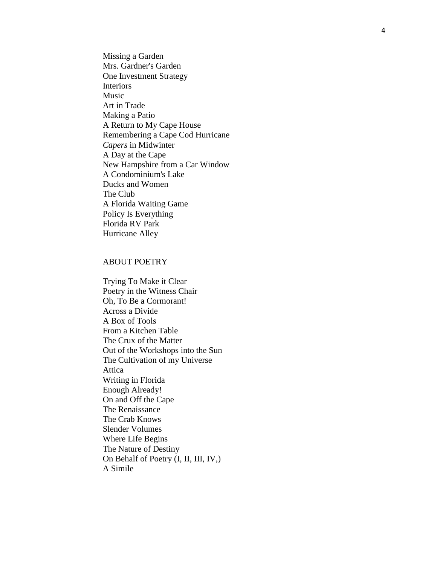Missing a Garden<br>Mrs. Gardner's Garden One Investment Strategy Interiors Music Art in Trade Making a Patio A Return to My Cape House Remembering a Cape Cod Hurricane *Capers* in Midwinter A Day at the Cape New Hampshire from a Car Window A Condominium's Lake Ducks and Women The Club A Florida Waiting Game Policy Is Everything Florida RV Park Hurricane Alley

#### ABOUT POETRY

Trying To Make it Clear Poetry in the Witness Chair Oh, To Be a Cormorant! Across a Divide A Box of Tools From a Kitchen Table The Crux of the Matter Out of the Workshops into the Sun The Cultivation of my Universe Attica Writing in Florida Enough Already! On and Off the Cape The Renaissance The Crab Knows Slender Volumes Where Life Begins The Nature of Destiny On Behalf of Poetry (I, II, III, IV,) A Simile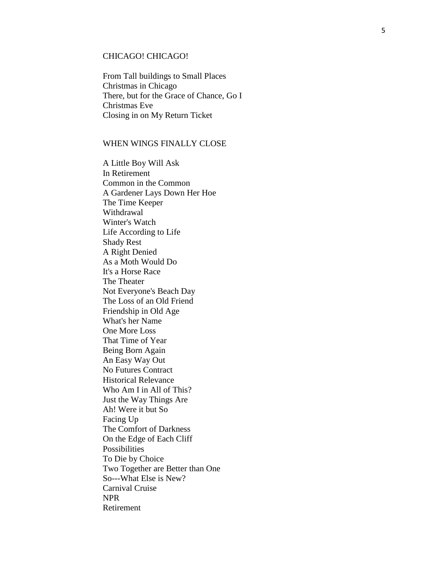#### CHICAGO! CHICAGO!

From Tall buildings to Small Places Christmas in Chicago There, but for the Grace of Chance, Go I Christmas Eve Closing in on My Return Ticket

#### WHEN WINGS FINALLY CLOSE

A Little Boy Will Ask In Retirement Common in the Common A Gardener Lays Down Her Hoe The Time Keeper Withdrawal Winter's Watch Life According to Life Shady Rest A Right Denied As a Moth Would Do It's a Horse Race The Theater Not Everyone's Beach Day The Loss of an Old Friend Friendship in Old Age What's her Name One More Loss That Time of Year Being Born Again An Easy Way Out No Futures Contract Historical Relevance Who Am I in All of This? Just the Way Things Are Ah! Were it but So Facing Up The Comfort of Darkness On the Edge of Each Cliff Possibilities To Die by Choice Two Together are Better than One So---What Else is New? Carnival Cruise NPR Retirement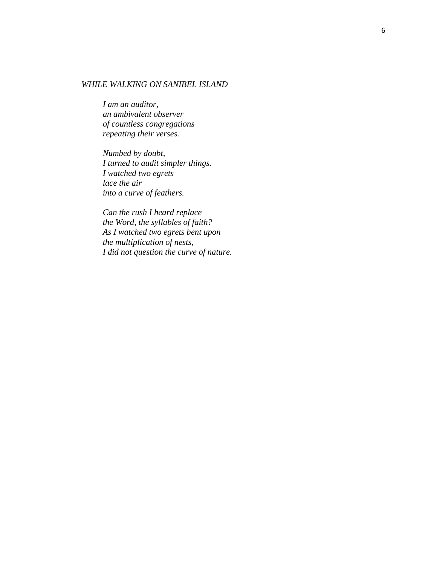# *WHILE WALKING ON SANIBEL ISLAND*

*I am an auditor, an ambivalent observer of countless congregations repeating their verses.* 

*Numbed by doubt, I turned to audit simpler things. I watched two egrets lace the air into a curve of feathers.* 

*Can the rush I heard replace the Word, the syllables of faith? As I watched two egrets bent upon the multiplication of nests, I did not question the curve of nature.*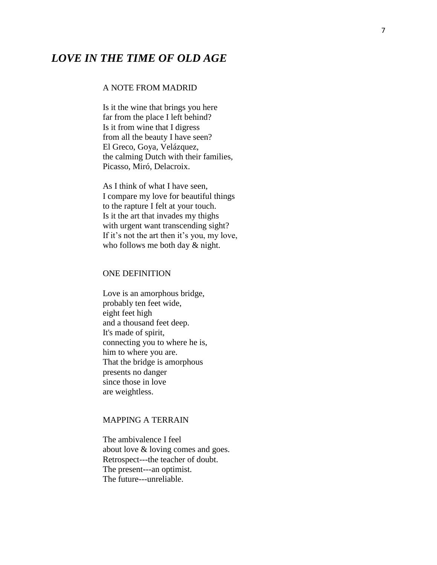# *LOVE IN THE TIME OF OLD AGE*

# A NOTE FROM MADRID

Is it the wine that brings you here far from the place I left behind? Is it from wine that I digress from all the beauty I have seen? El Greco, Goya, Velázquez, the calming Dutch with their families, Picasso, Miró, Delacroix.

As I think of what I have seen, I compare my love for beautiful things to the rapture I felt at your touch. Is it the art that invades my thighs with urgent want transcending sight? If it's not the art then it's you, my love, who follows me both day & night.

#### ONE DEFINITION

Love is an amorphous bridge, probably ten feet wide, eight feet high and a thousand feet deep. It's made of spirit, connecting you to where he is, him to where you are. That the bridge is amorphous presents no danger since those in love are weightless.

# MAPPING A TERRAIN

The ambivalence I feel about love & loving comes and goes. Retrospect---the teacher of doubt. The present---an optimist. The future---unreliable.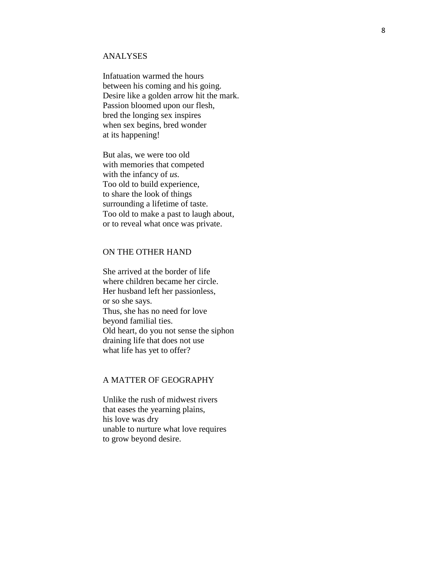# ANALYSES

Infatuation warmed the hours between his coming and his going. Desire like a golden arrow hit the mark. Passion bloomed upon our flesh, bred the longing sex inspires when sex begins, bred wonder at its happening!

But alas, we were too old with memories that competed with the infancy of *us.*  Too old to build experience, to share the look of things surrounding a lifetime of taste. Too old to make a past to laugh about, or to reveal what once was private.

# ON THE OTHER HAND

She arrived at the border of life where children became her circle. Her husband left her passionless, or so she says. Thus, she has no need for love beyond familial ties. Old heart, do you not sense the siphon draining life that does not use what life has yet to offer?

# A MATTER OF GEOGRAPHY

Unlike the rush of midwest rivers that eases the yearning plains, his love was dry unable to nurture what love requires to grow beyond desire.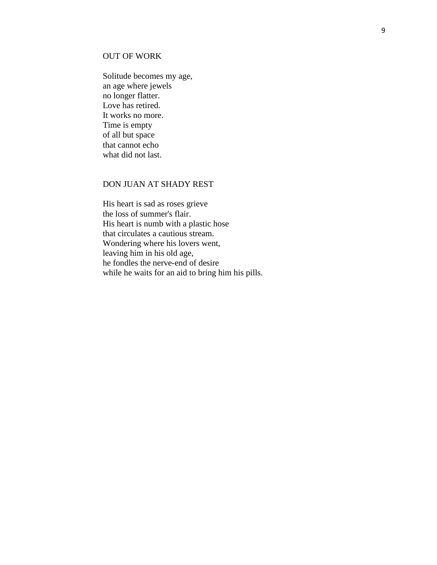# OUT OF WORK

Solitude becomes my age, an age where jewels no longer flatter. Love has retired. It works no more. Time is empty of all but space that cannot echo what did not last.

# DON JUAN AT SHADY REST

His heart is sad as roses grieve the loss of summer's flair. His heart is numb with a plastic hose that circulates a cautious stream. Wondering where his lovers went, leaving him in his old age, he fondles the nerve-end of desire while he waits for an aid to bring him his pills.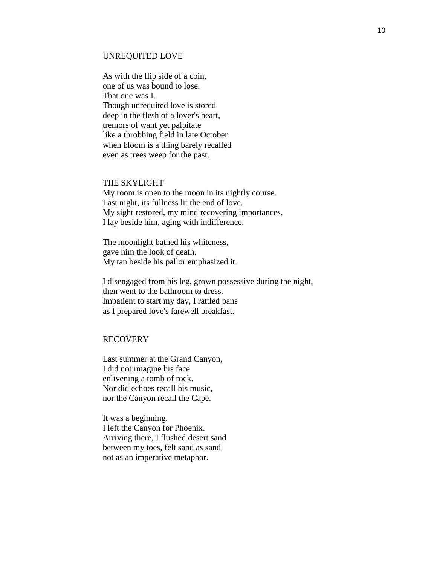#### UNREQUITED LOVE

As with the flip side of a coin, one of us was bound to lose. That one was I. Though unrequited love is stored deep in the flesh of a lover's heart, tremors of want yet palpitate like a throbbing field in late October when bloom is a thing barely recalled even as trees weep for the past.

#### TIIE SKYLIGHT

My room is open to the moon in its nightly course. Last night, its fullness lit the end of love. My sight restored, my mind recovering importances, I lay beside him, aging with indifference.

The moonlight bathed his whiteness, gave him the look of death. My tan beside his pallor emphasized it.

I disengaged from his leg, grown possessive during the night, then went to the bathroom to dress. Impatient to start my day, I rattled pans as I prepared love's farewell breakfast.

#### **RECOVERY**

Last summer at the Grand Canyon, I did not imagine his face enlivening a tomb of rock. Nor did echoes recall his music, nor the Canyon recall the Cape.

It was a beginning. I left the Canyon for Phoenix. Arriving there, I flushed desert sand between my toes, felt sand as sand not as an imperative metaphor.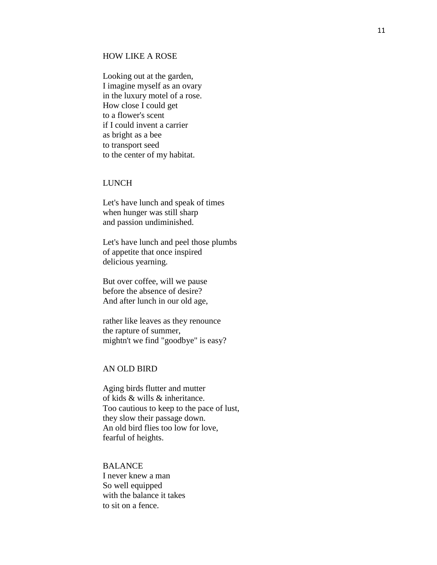# HOW LIKE A ROSE

Looking out at the garden, I imagine myself as an ovary in the luxury motel of a rose. How close I could get to a flower's scent if I could invent a carrier as bright as a bee to transport seed to the center of my habitat.

#### LUNCH

Let's have lunch and speak of times when hunger was still sharp and passion undiminished.

Let's have lunch and peel those plumbs of appetite that once inspired delicious yearning.

But over coffee, will we pause before the absence of desire? And after lunch in our old age,

rather like leaves as they renounce the rapture of summer, mightn't we find "goodbye" is easy?

# AN OLD BIRD

Aging birds flutter and mutter of kids & wills & inheritance. Too cautious to keep to the pace of lust, they slow their passage down. An old bird flies too low for love, fearful of heights.

#### BALANCE

I never knew a man So well equipped with the balance it takes to sit on a fence.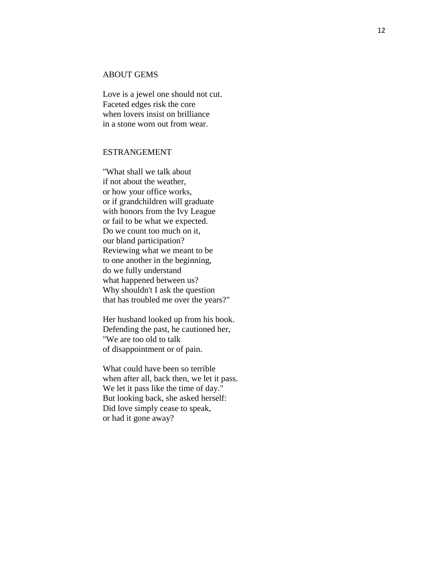# ABOUT GEMS

Love is a jewel one should not cut. Faceted edges risk the core when lovers insist on brilliance in a stone worn out from wear.

#### ESTRANGEMENT

"What shall we talk about if not about the weather, or how your office works, or if grandchildren will graduate with honors from the Ivy League or fail to be what we expected . Do we count too much on it, our bland participation? Reviewing what we meant to be to one another in the beginning, do we fully understand what happened between us? Why shouldn't I ask the question that has troubled me over the years?"

 Her husband looked up from his book. Defending the past, he cautioned her, "We are too old to talk of disappointment or of pain.

What could have been so terrible when after all, back then, we let it pass. We let it pass like the time of day." But looking back, she asked herself: Did love simply cease to speak, or had it gone away?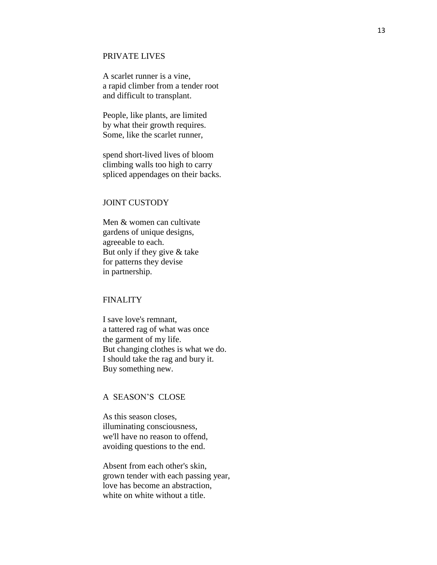# PRIVATE LIVES

A scarlet runner is a vine, a rapid climber from a tender root and difficult to transplant.

People, like plants, are limited by what their growth requires. Some, like the scarlet runner,

spend short -lived lives of bloom climbing walls too high to carry spliced appendages on their backs.

# JOINT CUSTODY

Men & women can cultivate gardens of unique designs, agreeable to each. But only if they give & take for patterns they devise in partnership.

#### FINALITY

I save love's remnant, a tattered rag of what was once the garment of my life. But changing clothes is what we do. I should take the rag and bury it. Buy something new.

# A SEASON'S CLOSE

As this season closes, illuminating consciousness, we'll have no reason to offend, avoiding questions to the end.

Absent from each other's skin, grown tender with each passing year, love has become an abstraction, white on white without a title.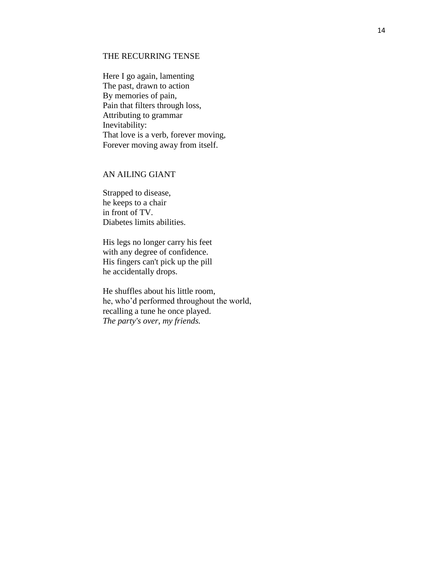# THE RECURRING TENSE

Here I go again, lamenting The past, drawn to action By memories of pain, Pain that filters through loss, Attributing to grammar Inevitability: That love is a verb, forever moving, Forever moving away from itself.

# AN AILING GIANT

Strapped to disease, he keeps to a chair in front of TV. Diabetes limits abilities.

His legs no longer carry his feet with any degree of confidence. His fingers can't pick up the pill he accidentally drops.

He shuffles about his little room, he, who'd performed throughout the world, recalling a tune he once played. *The party's over, my friends.*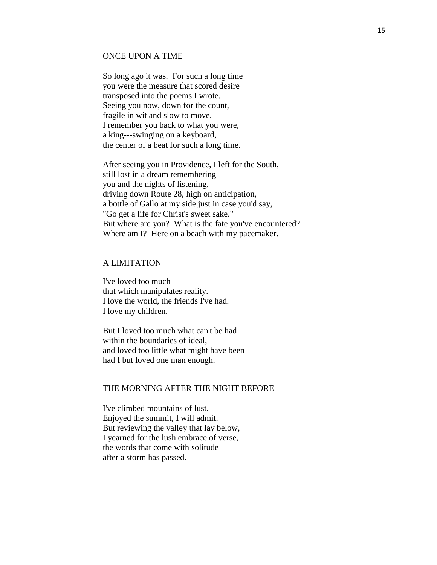#### ONCE UPON A TIME

So long ago it was. For such a long time you were the measure that scored desire transposed into the poems I wrote. Seeing you now, down for the count, fragile in wit and slow to move, I remember you back to what you were, a king---swinging on a keyboard, the center of a beat for such a long time.

After seeing you in Providence, I left for the South, still lost in a dream remembering you and the nights of listening, driving down Route 28, high on anticipation, a bottle of Gallo at my side just in case you'd say, "Go get a life for Christ's sweet sake." But where are you? What is the fate you've encountered? Where am I? Here on a beach with my pacemaker.

# A LIMITATION

I've loved too much that which manipulates reality. I love the world, the friends I've had. I love my children.

But I loved too much what can't be had within the boundaries of ideal, and loved too little what might have been had I but loved one man enough.

# THE MORNING AFTER THE NIGHT BEFORE

I've climbed mountains of lust. Enjoyed the summit, I will admit. But reviewing the valley that lay below, I yearned for the lush embrace of verse, the words that come with solitude after a storm has passed.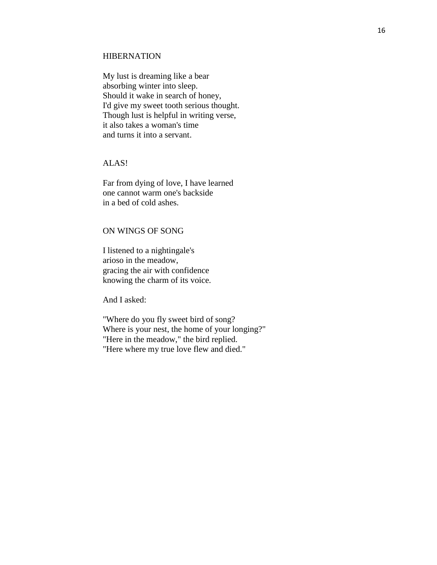# **HIBERNATION**

My lust is dreaming like a bear absorbing winter into sleep. Should it wake in search of honey, I'd give my sweet tooth serious thought. Though lust is helpful in writing verse, it also takes a woman's time and turns it into a servant.

# ALAS!

Far from dying of love, I have learned one cannot warm one's backside in a bed of cold ashes.

#### ON WINGS OF SONG

I listened to a nightingale's arioso in the meadow, gracing the air with confidence knowing the charm of its voice.

And I asked:

"Where do you fly sweet bird of song? Where is your nest, the home of your longing?" "Here in the meadow," the bird replied. "Here where my true love flew and died."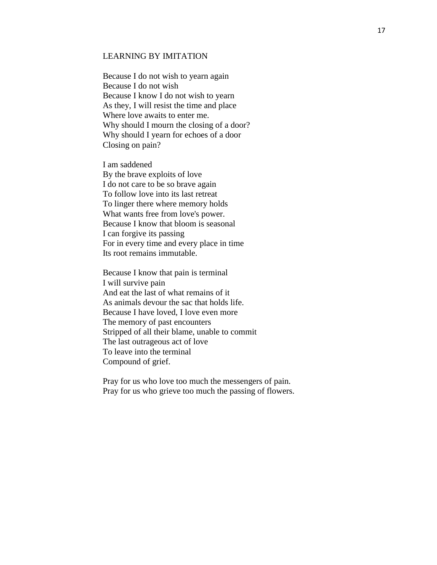#### LEARNING BY IMITATION

Because I do not wish to yearn again Because I do not wish Because I know I do not wish to yearn As they, I will resist the time and place Where love awaits to enter me. Why should I mourn the closing of a door? Why should I yearn for echoes of a door Closing on pain?

I am saddened By the brave exploits of love I do not care to be so brave again To follow love into its last retreat To linger there where memory holds What wants free from love's power. Because I know that bloom is seasonal I can forgive its passing For in every time and every place in time Its root remains immutable.

Because I know that pain is terminal I will survive pain And eat the last of what remains of it As animals devour the sac that holds life. Because I have loved, I love even more The memory of past encounters Stripped of all their blame, unable to commit The last outrageous act of love To leave into the terminal Compound of grief.

Pray for us who love too much the messengers of pain. Pray for us who grieve too much the passing of flowers.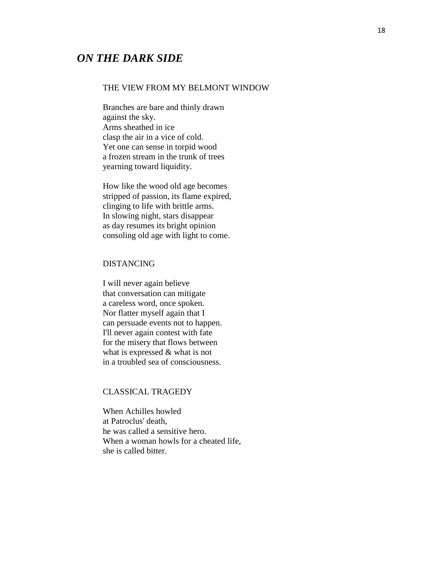# *ON THE DARK SIDE*

# THE VIEW FROM MY BELMONT WINDOW

Branches are bare and thinly drawn against the sky. Arms sheathed in ice clasp the air in a vice of cold. Yet one can sense in torpid wood a frozen stream in the trunk of trees yearning toward liquidity.

How like the wood old age becomes stripped of passion, its flame expired, clinging to life with brittle arms. In slowing night, stars disappear as day resumes its bright opinion consoling old age with light to come.

# DISTANCING

I will never again believe that conversation can mitigate a careless word, once spoken. Nor flatter myself again that I can persuade events not to happen. I'll never again contest with fate for the misery that flows between what is expressed & what is not in a troubled sea of consciousness.

#### CLASSICAL TRAGEDY

When Achilles howled at Patroclus' death, he was called a sensitive hero. When a woman howls for a cheated life. she is called bitter.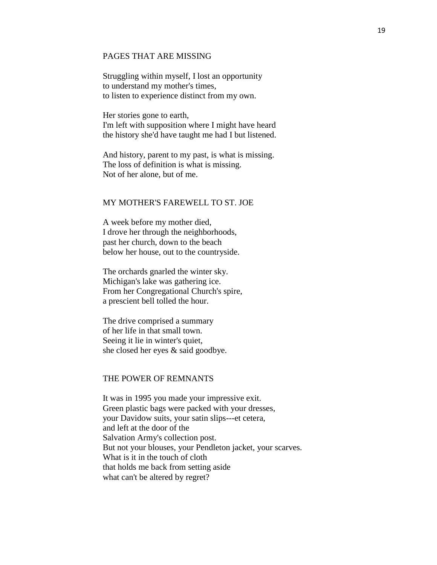## PAGES THAT ARE MISSING

Struggling within myself, I lost an opportunity to understand my mother's times, to listen to experience distinct from my own.

Her stories gone to earth, I'm left with supposition where I might have heard the history she'd have taught me had I but listened.

And history, parent to my past, is what is missing. The loss of definition is what is missing. Not of her alone, but of me.

#### MY MOTHER'S FAREWELL TO ST. JOE

A week before my mother died, I drove her through the neighborhoods, past her church, down to the beach below her house, out to the countryside.

The orchards gnarled the winter sky. Michigan's lake was gathering ice. From her Congregational Church's spire, a prescient bell tolled the hour.

The drive comprised a summary of her life in that small town. Seeing it lie in winter's quiet, she closed her eyes & said goodbye.

#### THE POWER OF REMNANTS

It was in 1995 you made your impressive exit. Green plastic bags were packed with your dresses, your Davidow suits, your satin slips---et cetera, and left at the door of the Salvation Army's collection post. But not your blouses, your Pendleton jacket, your scarves. What is it in the touch of cloth that holds me back from setting aside what can't be altered by regret?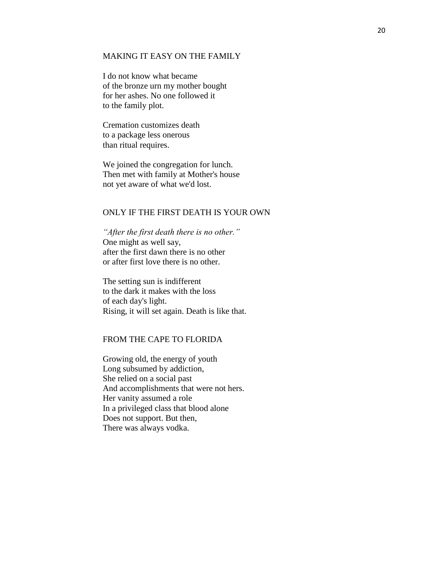# MAKING IT EASY ON THE FAMILY

I do not know what became of the bronze urn my mother bought for her ashes. No one followed it to the family plot.

Cremation customizes death to a package less onerous than ritual requires.

We joined the congregation for lunch. Then met with family at Mother's house not yet aware of what we'd lost.

# ONLY IF THE FIRST DEATH IS YOUR OWN

*"After the first death there is no other."*  One might as well say, after the first dawn there is no other or after first love there is no other.

The setting sun is indifferent to the dark it makes with the loss of each day's light. Rising, it will set again. Death is like that.

# FROM THE CAPE TO FLORIDA

Growing old, the energy of youth Long subsumed by addiction, She relied on a social past And accomplishments that were not hers. Her vanity assumed a role In a privileged class that blood alone Does not support. But then, There was always vodka.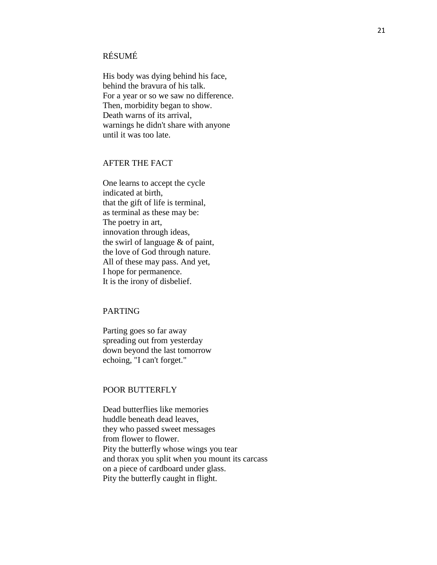# RÉSUMÉ

His body was dying behind his face, behind the bravura of his talk. For a year or so we saw no difference. Then, morbidity began to show. Death warns of its arrival, warnings he didn't share with anyone until it was too late.

# AFTER THE FACT

One learns to accept the cycle indicated at birth, that the gift of life is terminal, as terminal as these may be: The poetry in art, innovation through ideas, the swirl of language & of paint, the love of God through nature. All of these may pass. And yet, I hope for permanence. It is the irony of disbelief.

#### PARTING

Parting goes so far away spreading out from yesterday down beyond the last tomorrow echoing, "I can't forget."

# POOR BUTTERFLY

Dead butterflies like memories huddle beneath dead leaves, they who passed sweet messages from flower to flower. Pity the butterfly whose wings you tear and thorax you split when you mount its carcass on a piece of cardboard under glass. Pity the butterfly caught in flight.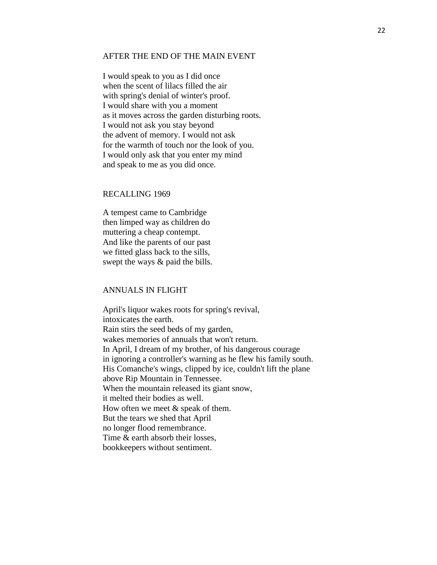## AFTER THE END OF THE MAIN EVENT

I would speak to you as I did once when the scent of lilacs filled the air with spring's denial of winter's proof. I would share with you a moment as it moves across the garden disturbing roots. I would not ask you stay beyond the advent of memory. I would not ask for the warmth of touch nor the look of you. I would only ask that you enter my mind and speak to me as you did once.

### RECALLING 1969

A tempest came to Cambridge then limped way as children do muttering a cheap contempt. And like the parents of our past we fitted glass back to the sills, swept the ways & paid the bills.

#### ANNUALS IN FLIGHT

April's liquor wakes roots for spring's revival, intoxicates the earth. Rain stirs the seed beds of my garden, wakes memories of annuals that won't return. In April, I dream of my brother, of his dangerous courage in ignoring a controller's warning as he flew his family south. His Comanche's wings, clipped by ice, couldn't lift the plane above Rip Mountain in Tennessee. When the mountain released its giant snow, it melted their bodies as well. How often we meet & speak of them. But the tears we shed that April no longer flood remembrance. Time  $&$  earth absorb their losses. bookkeepers without sentiment.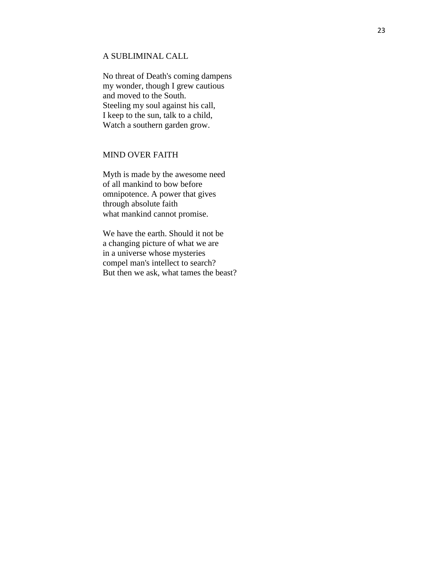# A SUBLIMINAL CALL

No threat of Death's coming dampens my wonder, though I grew cautious and moved to the South. Steeling my soul against his call, I keep to the sun, talk to a child, Watch a southern garden grow.

# MIND OVER FAITH

Myth is made by the awesome need of all mankind to bow before omnipotence. A power that gives through absolute faith what mankind cannot promise.

We have the earth. Should it not be a changing picture of what we are in a universe whose mysteries compel man's intellect to search? But then we ask, what tames the beast?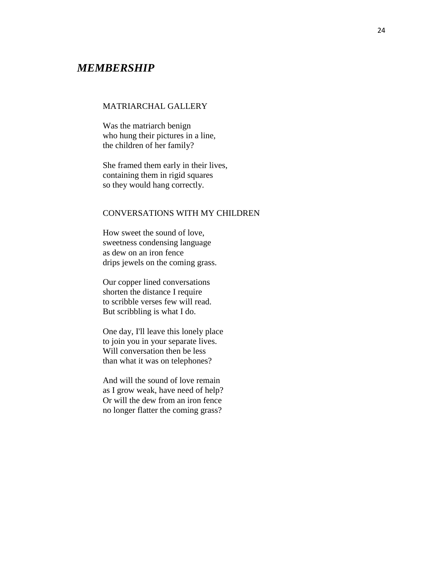# *MEMBERSHIP*

# MATRIARCHAL GALLERY

Was the matriarch benign who hung their pictures in a line, the children of her family?

She framed them early in their lives, containing them in rigid squares so they would hang correctly.

# CONVERSATIONS WITH MY CHILDREN

How sweet the sound of love, sweetness condensing language as dew on an iron fence drips jewels on the coming grass.

Our copper lined conversations shorten the distance I require to scribble verses few will read. But scribbling is what I do.

One day, I'll leave this lonely place to join you in your separate lives. Will conversation then be less than what it was on telephones?

And will the sound of love remain as I grow weak, have need of help? Or will the dew from an iron fence no longer flatter the coming grass?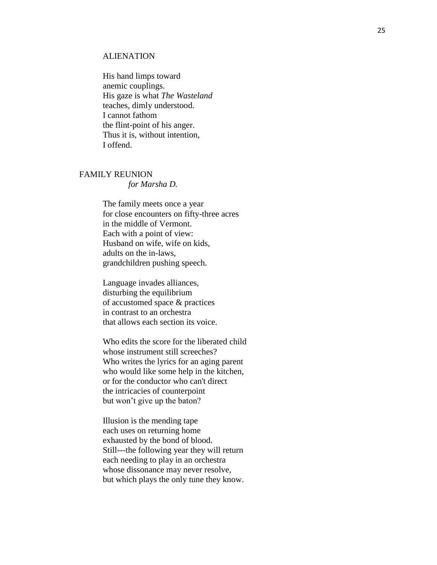# ALIENATION

His hand limps toward anemic couplings. His gaze is what *The Wasteland*  teaches, dimly understood. I cannot fathom the flint -point of his anger. Thus it is, without intention, I offend.

#### FAMILY REUNION

*for Marsha D.*

The family meets once a year for close encounters on fifty -three acres in the middle of Vermont. Each with a point of view: Husband on wife, wife on kids, adults on the in -laws, grandchildren pushing speech.

Language invades alliances, disturbing the equilibrium of accustomed space & practices in contrast to an orchestra that allows each section its voice.

Who edits the score for the liberated child whose instrument still screeches? Who writes the lyrics for an aging parent who would like some help in the kitchen, or for the conductor who can't direct the intricacies of counterpoint but won't give up the baton?

Illusion is the mending tape each uses on returning home exhausted by the bond of blood. Still---the following year they will return each needing to play in an orchestra whose dissonance may never resolve, but which plays the only tune they know.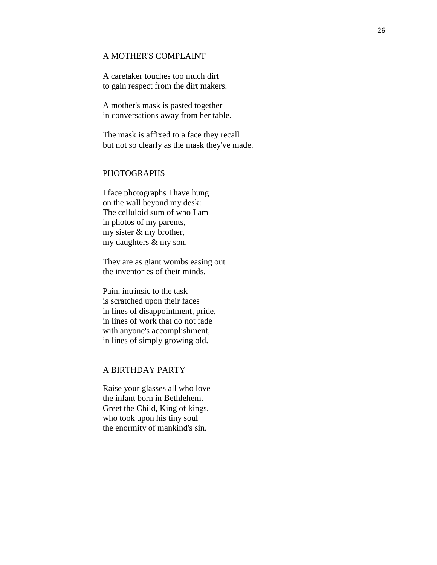# A MOTHER'S COMPLAINT

A caretaker touches too much dirt to gain respect from the dirt makers.

A mother's mask is pasted together in conversations away from her table.

The mask is affixed to a face they recall but not so clearly as the mask they've made.

# PHOTOGRAPHS

I face photographs I have hung on the wall beyond my desk: The celluloid sum of who I am in photos of my parents, my sister & my brother, my daughters & my son.

They are as giant wombs easing out the inventories of their minds.

Pain, intrinsic to the task is scratched upon their faces in lines of disappointment, pride, in lines of work that do not fade with anyone's accomplishment, in lines of simply growing old.

# A BIRTHDAY PARTY

Raise your glasses all who love the infant born in Bethlehem. Greet the Child, King of kings, who took upon his tiny soul the enormity of mankind's sin.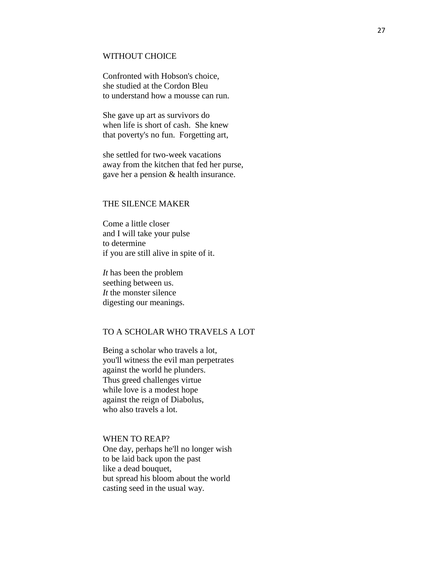# WITHOUT CHOICE

Confronted with Hobson's choice, she studied at the Cordon Bleu to understand how a mousse can run.

She gave up art as survivors do when life is short of cash. She knew that poverty's no fun. Forgetting art,

she settled for two-week vacations away from the kitchen that fed her purse, gave her a pension & health insurance.

# THE SILENCE MAKER

Come a little closer and I will take your pulse to determine if you are still alive in spite of it.

*It* has been the problem seething between us. *It* the monster silence digesting our meanings.

#### TO A SCHOLAR WHO TRAVELS A LOT

Being a scholar who travels a lot, you'll witness the evil man perpetrates against the world he plunders. Thus greed challenges virtue while love is a modest hope against the reign of Diabolus, who also travels a lot.

WHEN TO REAP? One day, perhaps he'll no longer wish to be laid back upon the past like a dead bouquet, but spread his bloom about the world casting seed in the usual way.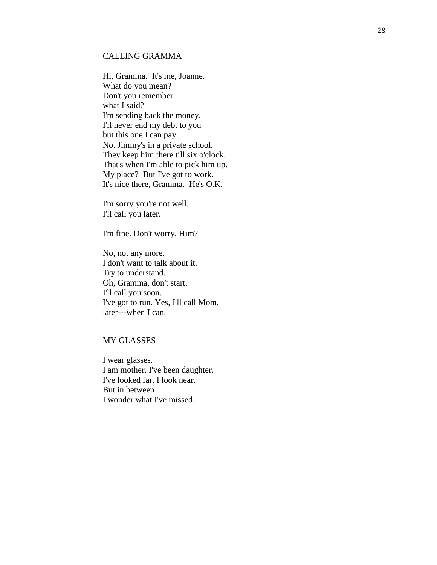# CALLING GRAMMA

Hi, Gramma. It's me, Joanne. What do you mean? Don't you remember what I said? I'm sending back the money. I'll never end my debt to you but this one I can pay. No. Jimmy's in a private school. They keep him there till six o'clock. That's when I'm able to pick him up. My place? But I've got to work. It's nice there, Gramma. He's O.K.

I'm sorry you're not well. I'll call you later.

I'm fine. Don't worry. Him?

No, not any more. I don't want to talk about it. Try to understand. Oh, Gramma, don't start. I'll call you soon. I've got to run. Yes, I'll call Mom, later---when I can.

## MY GLASSES

I wear glasses. I am mother. I've been daughter. I've looked far. I look near. But in between I wonder what I've missed.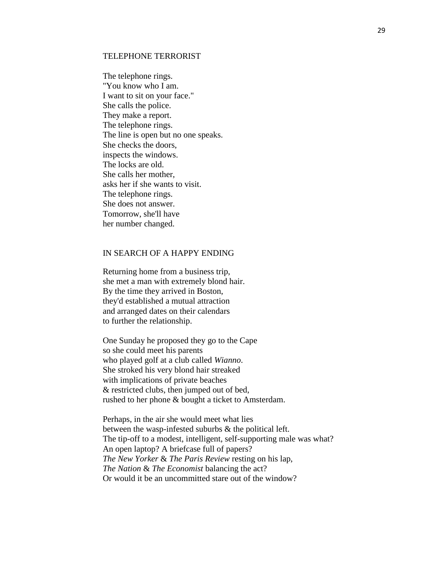# TELEPHONE TERRORIST

The telephone rings. "You know who I am. I want to sit on your face." She calls the police. They make a report. The telephone rings. The line is open but no one speaks. She checks the doors, inspects the windows. The locks are old. She calls her mother, asks her if she wants to visit. The telephone rings. She does not answer. Tomorrow, she'll have her number changed.

# IN SEARCH OF A HAPPY ENDING

Returning home from a business trip, she met a man with extremely blond hair. By the time they arrived in Boston, they'd established a mutual attraction and arranged dates on their calendars to further the relationship.

One Sunday he proposed they go to the Cape so she could meet his parents who played golf at a club called *Wianno*. She stroked his very blond hair streaked with implications of private beaches & restricted clubs, then jumped out of bed, rushed to her phone & bought a ticket to Amsterdam.

Perhaps, in the air she would meet what lies between the wasp-infested suburbs & the political left. The tip-off to a modest, intelligent, self-supporting male was what? An open laptop? A briefcase full of papers? *The New Yorker* & *The Paris Review* resting on his lap, *The Nation* & *The Economist* balancing the act? Or would it be an uncommitted stare out of the window?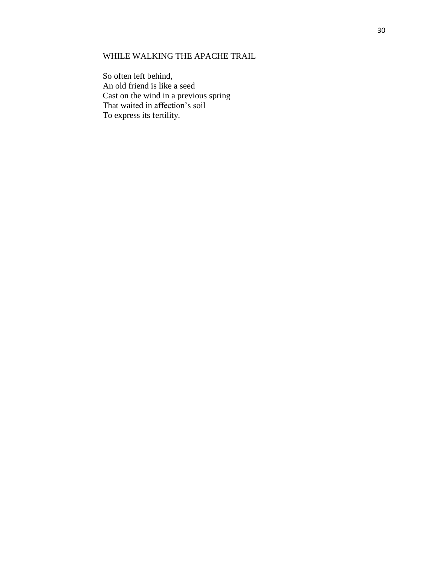# WHILE WALKING THE APACHE TRAIL

So often left behind, An old friend is like a seed Cast on the wind in a previous spring That waited in affection's soil To express its fertility.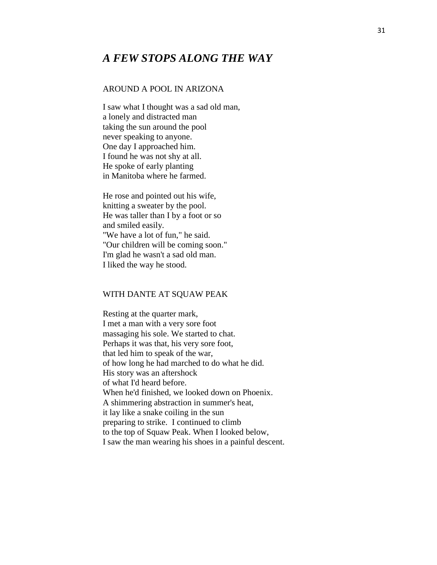# *A FEW STOPS ALONG THE WAY*

#### AROUND A POOL IN ARIZONA

I saw what I thought was a sad old man, a lonely and distracted man taking the sun around the pool never speaking to anyone. One day I approached him. I found he was not shy at all. He spoke of early planting in Manitoba where he farmed.

He rose and pointed out his wife, knitting a sweater by the pool. He was taller than I by a foot or so and smiled easily. "We have a lot of fun," he said. "Our children will be coming soon." I'm glad he wasn't a sad old man. I liked the way he stood.

#### WITH DANTE AT SQUAW PEAK

Resting at the quarter mark, I met a man with a very sore foot massaging his sole. We started to chat. Perhaps it was that, his very sore foot, that led him to speak of the war, of how long he had marched to do what he did. His story was an aftershock of what I'd heard before. When he'd finished, we looked down on Phoenix. A shimmering abstraction in summer's heat, it lay like a snake coiling in the sun preparing to strike. I continued to climb to the top of Squaw Peak. When I looked below, I saw the man wearing his shoes in a painful descent.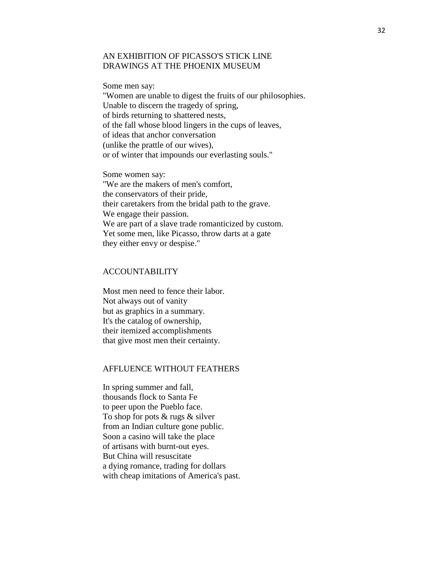# AN EXHIBITION OF PICASSO'S STICK LINE DRAWINGS AT THE PHOENIX MUSEUM

Some men say:

"Women are unable to digest the fruits of our philosophies. Unable to discern the tragedy of spring, of birds returning to shattered nests, of the fall whose blood lingers in the cups of leaves, of ideas that anchor conversation (unlike the prattle of our wives), or of winter that impounds our everlasting souls."

Some women say: "We are the makers of men's comfort, the conservators of their pride, their caretakers from the bridal path to the grave. We engage their passion. We are part of a slave trade romanticized by custom. Yet some men, like Picasso, throw darts at a gate they either envy or despise."

# ACCOUNTABILITY

Most men need to fence their labor. Not always out of vanity but as graphics in a summary. It's the catalog of ownership, their itemized accomplishments that give most men their certainty.

## AFFLUENCE WITHOUT FEATHERS

In spring summer and fall, thousands flock to Santa Fe to peer upon the Pueblo face. To shop for pots & rugs & silver from an Indian culture gone public. Soon a casino will take the place of artisans with burnt-out eyes. But China will resuscitate a dying romance, trading for dollars with cheap imitations of America's past.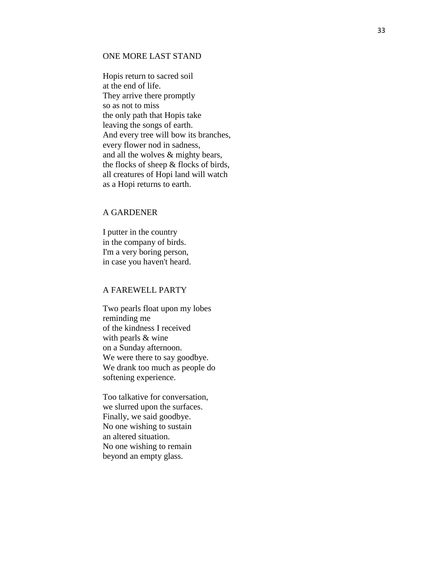# ONE MORE LAST STAND

Hopis return to sacred soil at the end of life. They arrive there promptly so as not to miss the only path that Hopis take leaving the songs of earth. And every tree will bow its branches, every flower nod in sadness, and all the wolves & mighty bears, the flocks of sheep & flocks of birds, all creatures of Hopi land will watch as a Hopi returns to earth.

# A GARDENER

I putter in the country in the company of birds. I'm a very boring person, in case you haven't heard.

# A FAREWELL PARTY

Two pearls float upon my lobes reminding me of the kindness I received with pearls & wine on a Sunday afternoon. We were there to say goodbye. We drank too much as people do softening experience.

Too talkative for conversation, we slurred upon the surfaces. Finally, we said goodbye. No one wishing to sustain an altered situation. No one wishing to remain beyond an empty glass.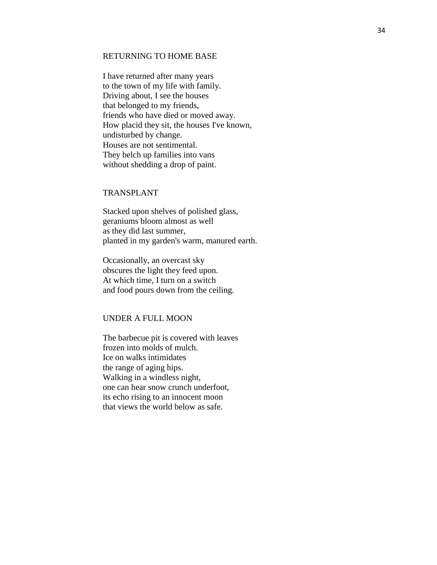# RETURNING TO HOME BASE

I have returned after many years to the town of my life with family. Driving about, I see the houses that belonged to my friends, friends who have died or moved away. How placid they sit, the houses I've known, undisturbed by change. Houses are not sentimental. They belch up families into vans without shedding a drop of paint.

# TRANSPLANT

Stacked upon shelves of polished glass, geraniums bloom almost as well as they did last summer, planted in my garden's warm, manured earth.

Occasionally, an overcast sky obscures the light they feed upon. At which time, I turn on a switch and food pours down from the ceiling.

# UNDER A FULL MOON

The barbecue pit is covered with leaves frozen into molds of mulch. Ice on walks intimidates the range of aging hips. Walking in a windless night, one can hear snow crunch underfoot, its echo rising to an innocent moon that views the world below as safe.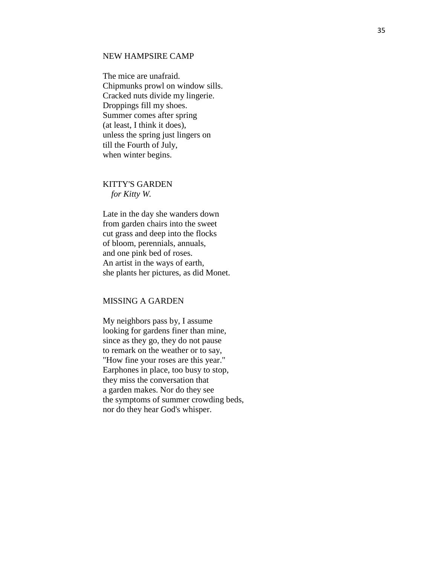## NEW HAMPSIRE CAMP

The mice are unafraid. Chipmunks prowl on window sills. Cracked nuts divide my lingerie. Droppings fill my shoes. Summer comes after spring (at least, I think it does), unless the spring just lingers on till the Fourth of July, when winter begins.

KITTY'S GARDEN  *for Kitty W.*

Late in the day she wanders down from garden chairs into the sweet cut grass and deep into the flocks of bloom, perennials, annuals, and one pink bed of roses. An artist in the ways of earth, she plants her pictures, as did Monet.

#### MISSING A GARDEN

My neighbors pass by, I assume looking for gardens finer than mine, since as they go, they do not pause to remark on the weather or to say, "How fine your roses are this year." Earphones in place, too busy to stop, they miss the conversation that a garden makes. Nor do they see the symptoms of summer crowding beds, nor do they hear God's whisper.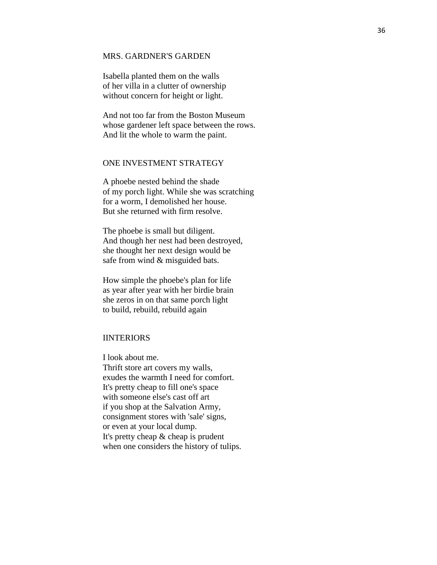#### MRS. GARDNER'S GARDEN

Isabella planted them on the walls of her villa in a clutter of ownership without concern for height or light.

And not too far from the Boston Museum whose gardener left space between the rows. And lit the whole to warm the paint.

#### ONE INVESTMENT STRATEGY

A phoebe nested behind the shade of my porch light. While she was scratching for a worm, I demolished her house. But she returned with firm resolve.

The phoebe is small but diligent. And though her nest had been destroyed, she thought her next design would be safe from wind & misguided bats.

How simple the phoebe's plan for life as year after year with her birdie brain she zeros in on that same porch light to build, rebuild, rebuild again

## IINTERIORS

I look about me. Thrift store art covers my walls, exudes the warmth I need for comfort. It's pretty cheap to fill one's space with someone else's cast off art if you shop at the Salvation Army, consignment stores with 'sale' signs, or even at your local dump. It's pretty cheap & cheap is prudent when one considers the history of tulips.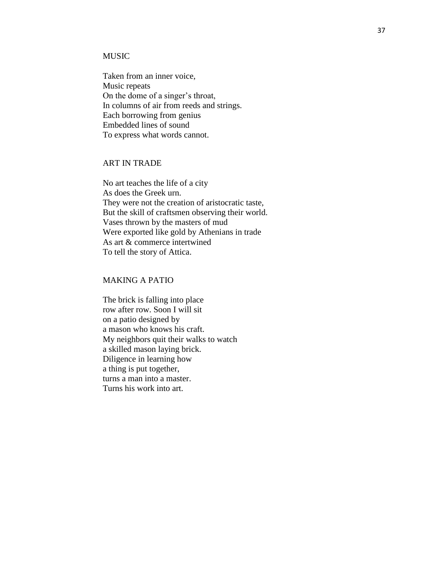## MUSIC

Taken from an inner voice, Music repeats On the dome of a singer's throat, In columns of air from reeds and strings. Each borrowing from genius Embedded lines of sound To express what words cannot.

## ART IN TRADE

No art teaches the life of a city As does the Greek urn. They were not the creation of aristocratic taste, But the skill of craftsmen observing their world. Vases thrown by the masters of mud Were exported like gold by Athenians in trade As art & commerce intertwined To tell the story of Attica.

## MAKING A PATIO

The brick is falling into place row after row. Soon I will sit on a patio designed by a mason who knows his craft. My neighbors quit their walks to watch a skilled mason laying brick. Diligence in learning how a thing is put together, turns a man into a master. Turns his work into art.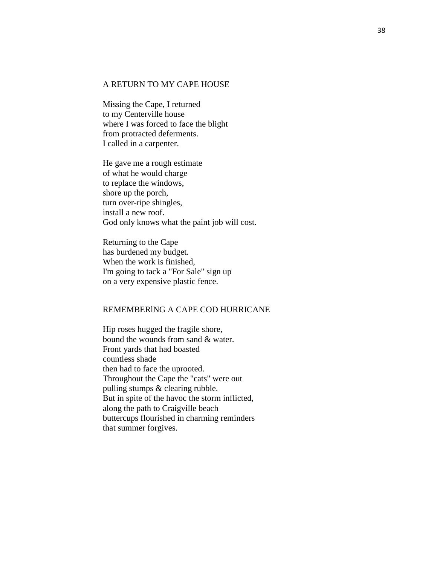#### A RETURN TO MY CAPE HOUSE

Missing the Cape, I returned to my Centerville house where I was forced to face the blight from protracted deferments. I called in a carpenter.

He gave me a rough estimate of what he would charge to replace the windows, shore up the porch, turn over-ripe shingles, install a new roof. God only knows what the paint job will cost.

Returning to the Cape has burdened my budget. When the work is finished, I'm going to tack a "For Sale" sign up on a very expensive plastic fence.

#### REMEMBERlNG A CAPE COD HURRICANE

Hip roses hugged the fragile shore, bound the wounds from sand & water. Front yards that had boasted countless shade then had to face the uprooted. Throughout the Cape the "cats" were out pulling stumps & clearing rubble. But in spite of the havoc the storm inflicted, along the path to Craigville beach buttercups flourished in charming reminders that summer forgives.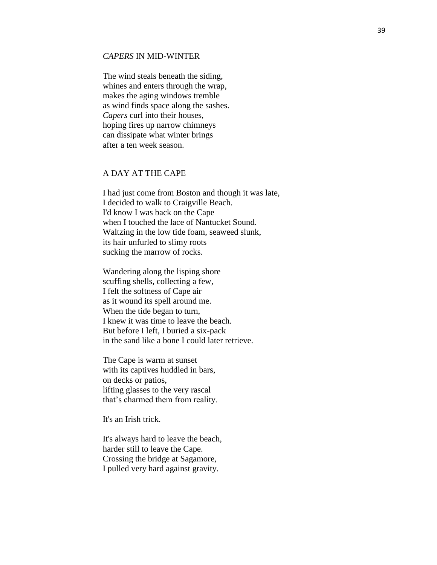#### *CAPERS* IN MID-WINTER

The wind steals beneath the siding, whines and enters through the wrap, makes the aging windows tremble as wind finds space along the sashes. *Capers* curl into their houses, hoping fires up narrow chimneys can dissipate what winter brings after a ten week season.

# A DAY AT THE CAPE

I had just come from Boston and though it was late, I decided to walk to Craigville Beach. I'd know I was back on the Cape when I touched the lace of Nantucket Sound. Waltzing in the low tide foam, seaweed slunk, its hair unfurled to slimy roots sucking the marrow of rocks.

Wandering along the lisping shore scuffing shells, collecting a few, I felt the softness of Cape air as it wound its spell around me. When the tide began to turn, I knew it was time to leave the beach. But before I left, I buried a six-pack in the sand like a bone I could later retrieve.

The Cape is warm at sunset with its captives huddled in bars, on decks or patios, lifting glasses to the very rascal that's charmed them from reality.

It's an Irish trick.

It's always hard to leave the beach, harder still to leave the Cape. Crossing the bridge at Sagamore, I pulled very hard against gravity.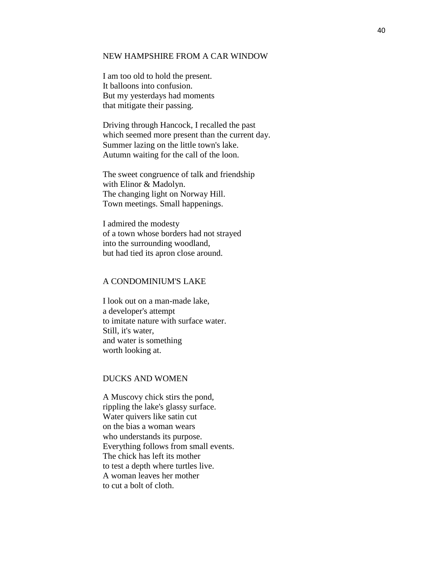#### NEW HAMPSHIRE FROM A CAR WINDOW

I am too old to hold the present. It balloons into confusion. But my yesterdays had moments that mitigate their passing.

Driving through Hancock, I recalled the past which seemed more present than the current day. Summer lazing on the little town's lake. Autumn waiting for the call of the loon.

The sweet congruence of talk and friendship with Elinor & Madolyn. The changing light on Norway Hill. Town meetings. Small happenings.

I admired the modesty of a town whose borders had not strayed into the surrounding woodland, but had tied its apron close around.

#### A CONDOMINIUM'S LAKE

I look out on a man-made lake, a developer's attempt to imitate nature with surface water. Still, it's water, and water is something worth looking at.

#### DUCKS AND WOMEN

A Muscovy chick stirs the pond, rippling the lake's glassy surface. Water quivers like satin cut on the bias a woman wears who understands its purpose. Everything follows from small events. The chick has left its mother to test a depth where turtles live. A woman leaves her mother to cut a bolt of cloth.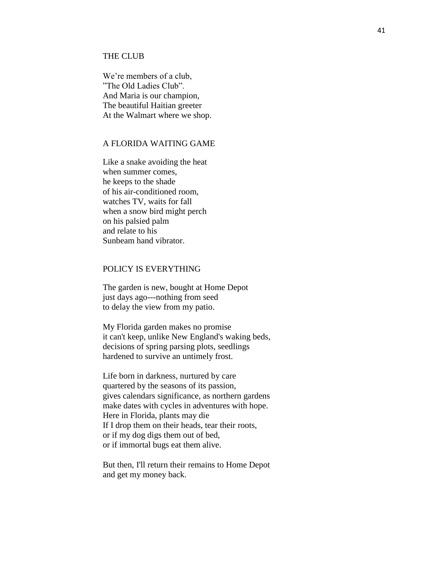#### THE CLUB

We're members of a club, "The Old Ladies Club". And Maria is our champion, The beautiful Haitian greeter At the Walmart where we shop.

## A FLORIDA WAITING GAME

Like a snake avoiding the heat when summer comes, he keeps to the shade of his air-conditioned room, watches TV, waits for fall when a snow bird might perch on his palsied palm and relate to his Sunbeam hand vibrator.

#### POLICY IS EVERYTHING

The garden is new, bought at Home Depot just days ago---nothing from seed to delay the view from my patio.

My Florida garden makes no promise it can't keep, unlike New England's waking beds, decisions of spring parsing plots, seedlings hardened to survive an untimely frost.

Life born in darkness, nurtured by care quartered by the seasons of its passion, gives calendars significance, as northern gardens make dates with cycles in adventures with hope. Here in Florida, plants may die If I drop them on their heads, tear their roots, or if my dog digs them out of bed, or if immortal bugs eat them alive.

But then, I'll return their remains to Home Depot and get my money back.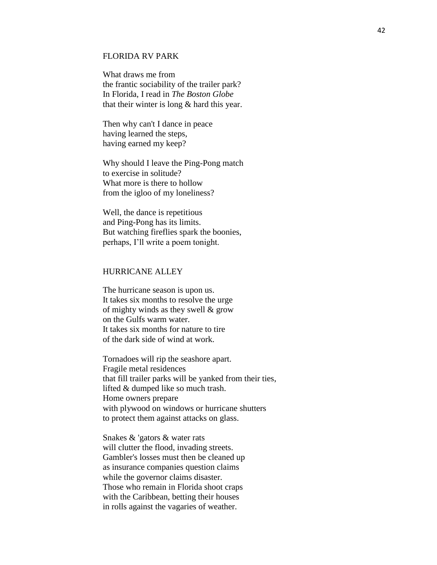#### FLORIDA RV PARK

What draws me from the frantic sociability of the trailer park? In Florida, I read in *The Boston Globe*  that their winter is long & hard this year.

Then why can't I dance in peace having learned the steps, having earned my keep?

Why should I leave the Ping-Pong match to exercise in solitude? What more is there to hollow from the igloo of my loneliness?

Well, the dance is repetitious and Ping-Pong has its limits. But watching fireflies spark the boonies, perhaps, I'll write a poem tonight.

#### HURRICANE ALLEY

The hurricane season is upon us. It takes six months to resolve the urge of mighty winds as they swell & grow on the Gulfs warm water. It takes six months for nature to tire of the dark side of wind at work.

Tornadoes will rip the seashore apart. Fragile metal residences that fill trailer parks will be yanked from their ties, lifted & dumped like so much trash. Home owners prepare with plywood on windows or hurricane shutters to protect them against attacks on glass.

Snakes & 'gators & water rats will clutter the flood, invading streets. Gambler's losses must then be cleaned up as insurance companies question claims while the governor claims disaster. Those who remain in Florida shoot craps with the Caribbean, betting their houses in rolls against the vagaries of weather.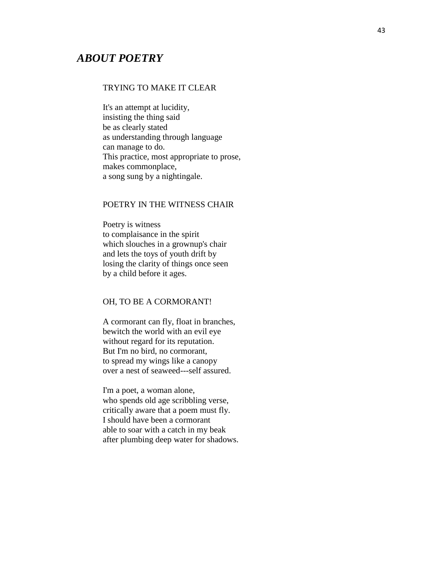# *ABOUT POETRY*

## TRYING TO MAKE IT CLEAR

It's an attempt at lucidity, insisting the thing said be as clearly stated as understanding through language can manage to do. This practice, most appropriate to prose, makes commonplace, a song sung by a nightingale.

## POETRY IN THE WITNESS CHAIR

Poetry is witness to complaisance in the spirit which slouches in a grownup's chair and lets the toys of youth drift by losing the clarity of things once seen by a child before it ages.

#### OH, TO BE A CORMORANT!

A cormorant can fly, float in branches, bewitch the world with an evil eye without regard for its reputation. But I'm no bird, no cormorant, to spread my wings like a canopy over a nest of seaweed---self assured.

I'm a poet, a woman alone, who spends old age scribbling verse, critically aware that a poem must fly. I should have been a cormorant able to soar with a catch in my beak after plumbing deep water for shadows.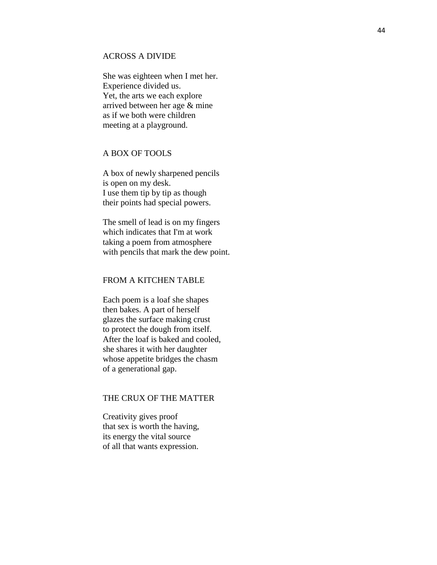## ACROSS A DIVIDE

She was eighteen when I met her. Experience divided us. Yet, the arts we each explore arrived between her age & mine as if we both were children meeting at a playground.

## A BOX OF TOOLS

A box of newly sharpened pencils is open on my desk. I use them tip by tip as though their points had special powers.

The smell of lead is on my fingers which indicates that I'm at work taking a poem from atmosphere with pencils that mark the dew point.

# FROM A KITCHEN TABLE

Each poem is a loaf she shapes then bakes. A part of herself glazes the surface making crust to protect the dough from itself. After the loaf is baked and cooled, she shares it with her daughter whose appetite bridges the chasm of a generational gap.

#### THE CRUX OF THE MATTER

Creativity gives proof that sex is worth the having, its energy the vital source of all that wants expression.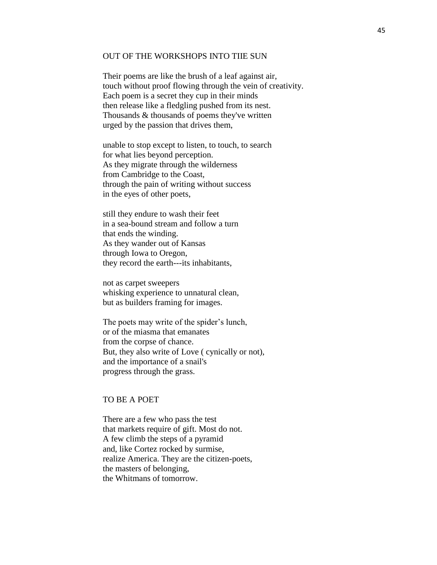## OUT OF THE WORKSHOPS INTO TIIE SUN

Their poems are like the brush of a leaf against air, touch without proof flowing through the vein of creativity. Each poem is a secret they cup in their minds then release like a fledgling pushed from its nest. Thousands & thousands of poems they've written urged by the passion that drives them,

unable to stop except to listen, to touch, to search for what lies beyond perception. As they migrate through the wilderness from Cambridge to the Coast, through the pain of writing without success in the eyes of other poets,

still they endure to wash their feet in a sea-bound stream and follow a turn that ends the winding. As they wander out of Kansas through Iowa to Oregon, they record the earth---its inhabitants,

not as carpet sweepers whisking experience to unnatural clean, but as builders framing for images.

The poets may write of the spider's lunch, or of the miasma that emanates from the corpse of chance. But, they also write of Love ( cynically or not), and the importance of a snail's progress through the grass.

#### TO BE A POET

There are a few who pass the test that markets require of gift. Most do not. A few climb the steps of a pyramid and, like Cortez rocked by surmise, realize America. They are the citizen-poets, the masters of belonging, the Whitmans of tomorrow.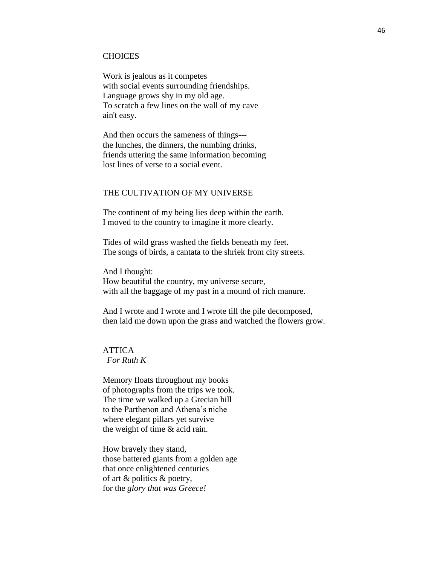#### **CHOICES**

Work is jealous as it competes with social events surrounding friendships. Language grows shy in my old age. To scratch a few lines on the wall of my cave ain't easy.

And then occurs the sameness of things-- the lunches, the dinners, the numbing drinks, friends uttering the same information becoming lost lines of verse to a social event.

## THE CULTIVATION OF MY UNIVERSE

The continent of my being lies deep within the earth. I moved to the country to imagine it more clearly.

Tides of wild grass washed the fields beneath my feet. The songs of birds, a cantata to the shriek from city streets.

And I thought: How beautiful the country, my universe secure, with all the baggage of my past in a mound of rich manure.

And I wrote and I wrote and I wrote till the pile decomposed, then laid me down upon the grass and watched the flowers grow.

## ATTICA  *For Ruth K*

Memory floats throughout my books of photographs from the trips we took. The time we walked up a Grecian hill to the Parthenon and Athena's niche where elegant pillars yet survive the weight of time & acid rain.

How bravely they stand, those battered giants from a golden age that once enlightened centuries of art & politics & poetry, for the *glory that was Greece!*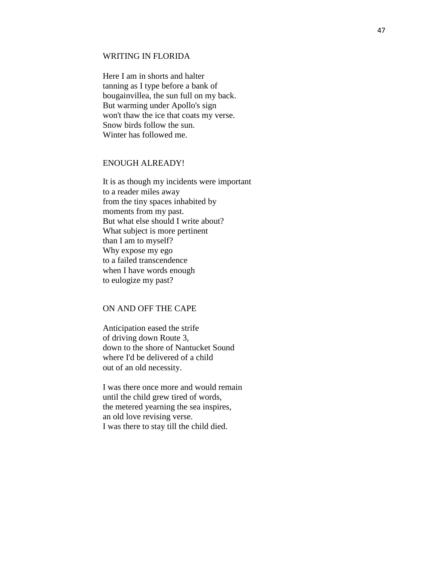## WRITING IN FLORIDA

Here I am in shorts and halter tanning as I type before a bank of bougainvillea, the sun full on my back. But warming under Apollo's sign won't thaw the ice that coats my verse. Snow birds follow the sun. Winter has followed me.

#### ENOUGH ALREADY!

It is as though my incidents were important to a reader miles away from the tiny spaces inhabited by moments from my past. But what else should I write about? What subject is more pertinent than I am to myself? Why expose my ego to a failed transcendence when I have words enough to eulogize my past?

## ON AND OFF THE CAPE

Anticipation eased the strife of driving down Route 3, down to the shore of Nantucket Sound where I'd be delivered of a child out of an old necessity.

I was there once more and would remain until the child grew tired of words, the metered yearning the sea inspires, an old love revising verse. I was there to stay till the child died.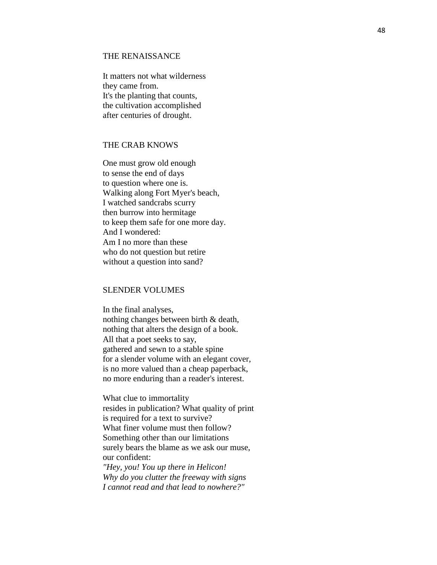# THE RENAISSANCE

It matters not what wilderness they came from. It's the planting that counts, the cultivation accomplished after centuries of drought.

#### THE CRAB KNOWS

One must grow old enough to sense the end of days to question where one is. Walking along Fort Myer's beach, I watched sandcrabs scurry then burrow into hermitage to keep them safe for one more day. And I wondered: Am I no more than these who do not question but retire without a question into sand?

#### SLENDER VOLUMES

In the final analyses, nothing changes between birth & death, nothing that alters the design of a book. All that a poet seeks to say, gathered and sewn to a stable spine for a slender volume with an elegant cover, is no more valued than a cheap paperback, no more enduring than a reader's interest.

What clue to immortality resides in publication? What quality of print is required for a text to survive? What finer volume must then follow? Something other than our limitations surely bears the blame as we ask our muse, our confident:

*"Hey, you! You up there in Helicon! Why do you clutter the freeway with signs I cannot read and that lead to nowhere?"*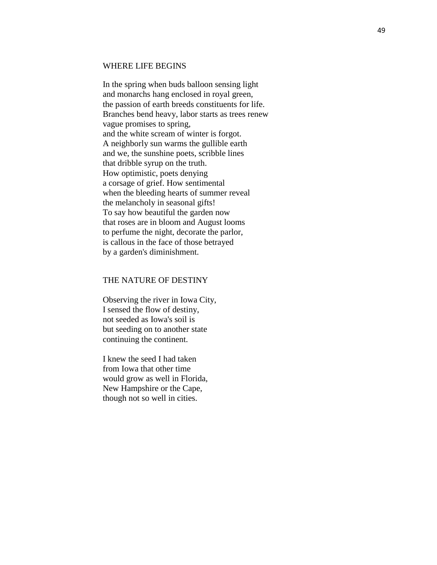#### WHERE LIFE BEGINS

In the spring when buds balloon sensing light and monarchs hang enclosed in royal green, the passion of earth breeds constituents for life. Branches bend heavy, labor starts as trees renew vague promises to spring, and the white scream of winter is forgot. A neighborly sun warms the gullible earth and we, the sunshine poets, scribble lines that dribble syrup on the truth. How optimistic, poets denying a corsage of grief. How sentimental when the bleeding hearts of summer reveal the melancholy in seasonal gifts! To say how beautiful the garden now that roses are in bloom and August looms to perfume the night, decorate the parlor, is callous in the face of those betrayed by a garden's diminishment.

## THE NATURE OF DESTINY

Observing the river in Iowa City, I sensed the flow of destiny, not seeded as Iowa's soil is but seeding on to another state continuing the continent.

I knew the seed I had taken from Iowa that other time would grow as well in Florida, New Hampshire or the Cape, though not so well in cities.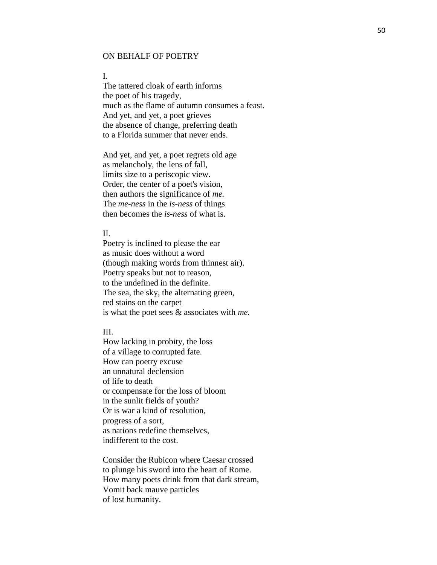## ON BEHALF OF POETRY

#### I.

The tattered cloak of earth informs the poet of his tragedy, much as the flame of autumn consumes a feast. And yet, and yet, a poet grieves the absence of change, preferring death to a Florida summer that never ends.

And yet, and yet, a poet regrets old age as melancholy, the lens of fall, limits size to a periscopic view. Order, the center of a poet's vision, then authors the significance of *me.*  The *me -ness* in the *is -ness* of things then becomes the *is -ness* of what is.

#### II.

Poetry is inclined to please the ear as music does without a word (though making words from thinnest air). Poetry speaks but not to reason, to the undefined in the definite. The sea, the sky, the alternating green, red stains on the carpet is what the poet sees & associates with *me.*

#### III.

How lacking in probity, the loss of a village to corrupted fate. How can poetry excuse an unnatural declension of life to death or compensate for the loss of bloom in the sunlit fields of youth? Or is war a kind of resolution, progress of a sort, as nations redefine themselves, indifferent to the cost.

Consider the Rubicon where Caesar crossed to plunge his sword into the heart of Rome. How many poets drink from that dark stream, Vomit back mauve particles of lost humanity.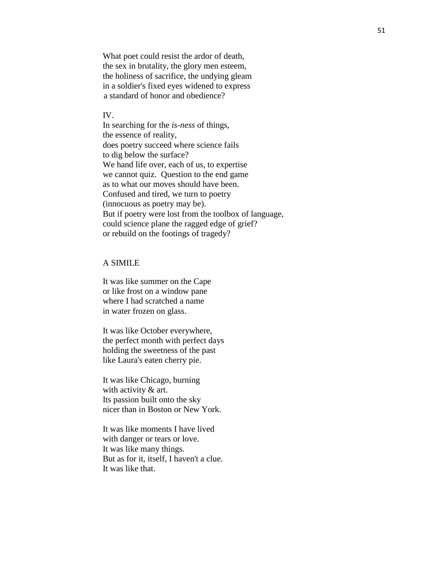What poet could resist the ardor of death, the sex in brutality, the glory men esteem, the holiness of sacrifice, the undying gleam in a soldier's fixed eyes widened to express a standard of honor and obedience?

#### IV.

In searching for the *is-ness* of things, the essence of reality, does poetry succeed where science fails to dig below the surface? We hand life over, each of us, to expertise we cannot quiz. Question to the end game as to what our moves should have been. Confused and tired, we turn to poetry (innocuous as poetry may be). But if poetry were lost from the toolbox of language, could science plane the ragged edge of grief? or rebuild on the footings of tragedy?

#### A SIMILE

It was like summer on the Cape or like frost on a window pane where I had scratched a name in water frozen on glass.

It was like October everywhere, the perfect month with perfect days holding the sweetness of the past like Laura's eaten cherry pie.

It was like Chicago, burning with activity  $&$  art. Its passion built onto the sky nicer than in Boston or New York.

It was like moments I have lived with danger or tears or love. It was like many things. But as for it, itself, I haven't a clue. It was like that.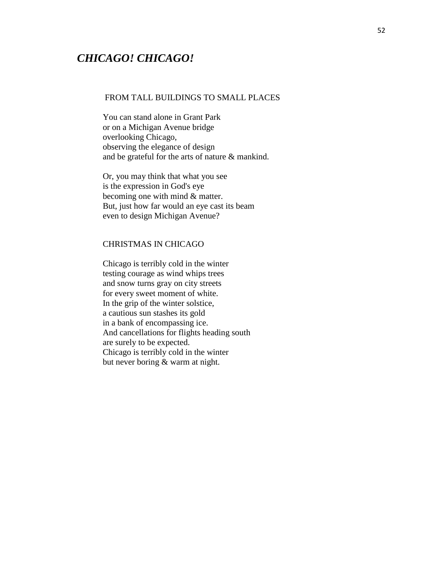# *CHICAGO! CHICAGO!*

#### FROM TALL BUILDINGS TO SMALL PLACES

You can stand alone in Grant Park or on a Michigan Avenue bridge overlooking Chicago, observing the elegance of design and be grateful for the arts of nature & mankind.

Or, you may think that what you see is the expression in God's eye becoming one with mind & matter. But, just how far would an eye cast its beam even to design Michigan Avenue?

## CHRISTMAS IN CHICAGO

Chicago is terribly cold in the winter testing courage as wind whips trees and snow turns gray on city streets for every sweet moment of white. In the grip of the winter solstice, a cautious sun stashes its gold in a bank of encompassing ice. And cancellations for flights heading south are surely to be expected. Chicago is terribly cold in the winter but never boring & warm at night.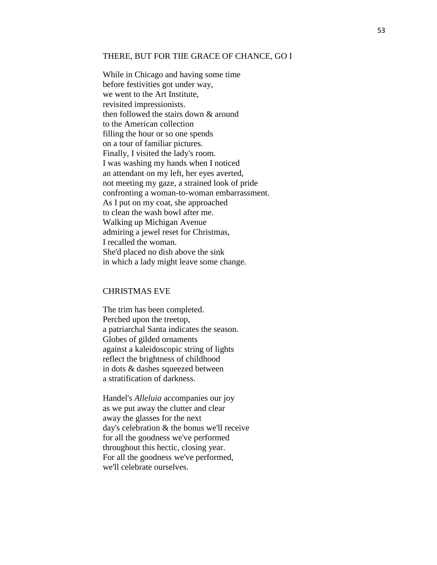#### THERE, BUT FOR TIIE GRACE OF CHANCE, GO I

While in Chicago and having some time before festivities got under way, we went to the Art Institute, revisited impressionists. then followed the stairs down & around to the American collection filling the hour or so one spends on a tour of familiar pictures. Finally, I visited the lady's room. I was washing my hands when I noticed an attendant on my left, her eyes averted, not meeting my gaze, a strained look of pride confronting a woman-to-woman embarrassment. As I put on my coat, she approached to clean the wash bowl after me. Walking up Michigan Avenue admiring a jewel reset for Christmas, I recalled the woman. She'd placed no dish above the sink in which a lady might leave some change.

## CHRISTMAS EVE

The trim has been completed. Perched upon the treetop, a patriarchal Santa indicates the season. Globes of gilded ornaments against a kaleidoscopic string of lights reflect the brightness of childhood in dots & dashes squeezed between a stratification of darkness.

Handel's *Alleluia* accompanies our joy as we put away the clutter and clear away the glasses for the next day's celebration & the bonus we'll receive for all the goodness we've performed throughout this hectic, closing year. For all the goodness we've performed, we'll celebrate ourselves.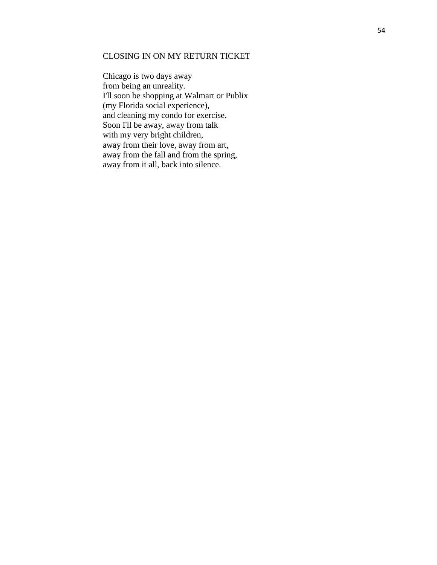# CLOSING IN ON MY RETURN TICKET

Chicago is two days away from being an unreality. I'll soon be shopping at Walmart or Publix (my Florida social experience), and cleaning my condo for exercise. Soon I'll be away, away from talk with my very bright children, away from their love, away from art, away from the fall and from the spring, away from it all, back into silence.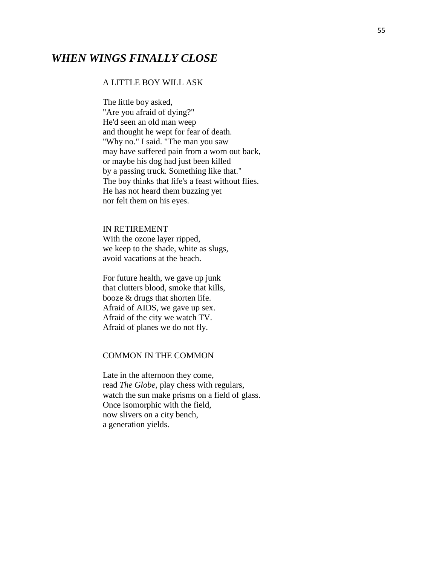# *WHEN WINGS FINALLY CLOSE*

## A LITTLE BOY WILL ASK

The little boy asked, "Are you afraid of dying?" He'd seen an old man weep and thought he wept for fear of death. "Why no." I said. "The man you saw may have suffered pain from a worn out back, or maybe his dog had just been killed by a passing truck. Something like that." The boy thinks that life's a feast without flies. He has not heard them buzzing yet nor felt them on his eyes.

## IN RETIREMENT

With the ozone layer ripped, we keep to the shade, white as slugs, avoid vacations at the beach.

For future health, we gave up junk that clutters blood, smoke that kills, booze & drugs that shorten life. Afraid of AIDS, we gave up sex. Afraid of the city we watch TV. Afraid of planes we do not fly.

#### COMMON IN THE COMMON

Late in the afternoon they come, read *The Globe,* play chess with regulars, watch the sun make prisms on a field of glass. Once isomorphic with the field, now slivers on a city bench, a generation yields.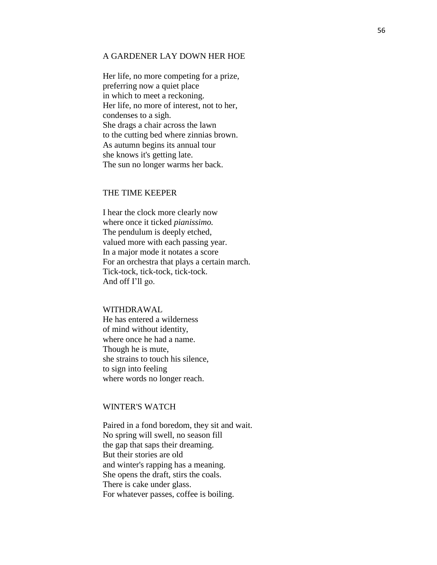## A GARDENER LAY DOWN HER HOE

Her life, no more competing for a prize, preferring now a quiet place in which to meet a reckoning. Her life, no more of interest, not to her, condenses to a sigh. She drags a chair across the lawn to the cutting bed where zinnias brown. As autumn begins its annual tour she knows it's getting late. The sun no longer warms her back.

## THE TIME KEEPER

I hear the clock more clearly now where once it ticked *pianissimo.*  The pendulum is deeply etched, valued more with each passing year. In a major mode it notates a score For an orchestra that plays a certain march. Tick -tock, tick -tock, tick -tock. And off I'll go.

#### WITHDRAWAL

He has entered a wilderness of mind without identity, where once he had a name. Though he is mute, she strains to touch his silence, to sign into feeling where words no longer reach.

#### WINTER'S WATCH

Paired in a fond boredom, they sit and wait. No spring will swell, no season fill the gap that saps their dreaming. But their stories are old and winter's rapping has a meaning. She opens the draft, stirs the coals. There is cake under glass. For whatever passes, coffee is boiling.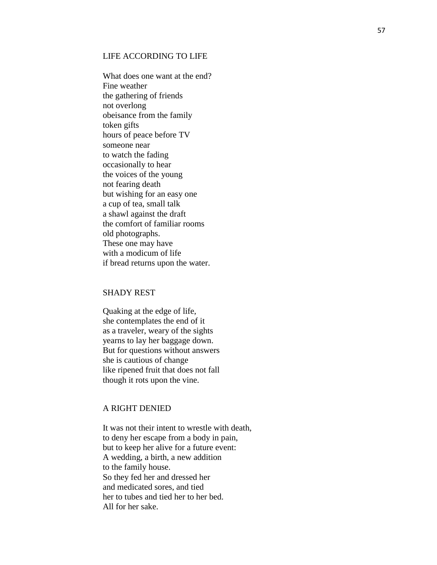## LIFE ACCORDING TO LIFE

What does one want at the end? Fine weather the gathering of friends not overlong obeisance from the family token gifts hours of peace before TV someone near to watch the fading occasionally to hear the voices of the young not fearing death but wishing for an easy one a cup of tea, small talk a shawl against the draft the comfort of familiar rooms old photographs. These one may have with a modicum of life if bread returns upon the water.

#### SHADY REST

Quaking at the edge of life, she contemplates the end of it as a traveler, weary of the sights yearns to lay her baggage down. But for questions without answers she is cautious of change like ripened fruit that does not fall though it rots upon the vine.

## A RIGHT DENIED

It was not their intent to wrestle with death, to deny her escape from a body in pain, but to keep her alive for a future event: A wedding, a birth, a new addition to the family house. So they fed her and dressed her and medicated sores, and tied her to tubes and tied her to her bed. All for her sake.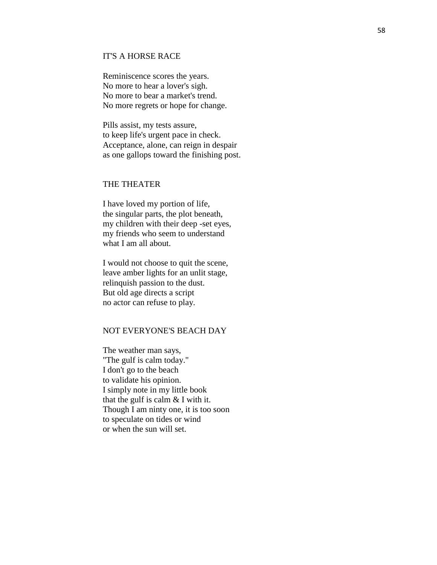## IT'S A HORSE RACE

Reminiscence scores the years. No more to hear a lover's sigh. No more to bear a market's trend. No more regrets or hope for change.

Pills assist, my tests assure, to keep life's urgent pace in check. Acceptance, alone, can reign in despair as one gallops toward the finishing post.

## THE THEATER

I have loved my portion of life, the singular parts, the plot beneath, my children with their deep -set eyes, my friends who seem to understand what I am all about.

I would not choose to quit the scene, leave amber lights for an unlit stage, relinquish passion to the dust. But old age directs a script no actor can refuse to play.

## NOT EVERYONE'S BEACH DAY

The weather man says, "The gulf is calm today." I don't go to the beach to validate his opinion. I simply note in my little book that the gulf is calm & I with it. Though I am ninty one, it is too soon to speculate on tides or wind or when the sun will set.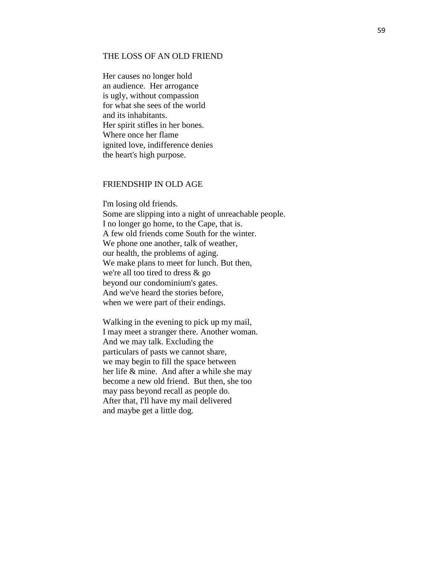#### THE LOSS OF AN OLD FRIEND

Her causes no longer hold an audience. Her arrogance is ugly, without compassion for what she sees of the world and its inhabitants. Her spirit stifles in her bones. Where once her flame ignited love, indifference denies the heart's high purpose.

## FRIENDSHIP IN OLD AGE

I'm losing old friends. Some are slipping into a night of unreachable people. I no longer go home, to the Cape, that is. A few old friends come South for the winter. We phone one another, talk of weather, our health, the problems of aging. We make plans to meet for lunch. But then, we're all too tired to dress & go beyond our condominium's gates. And we've heard the stories before, when we were part of their endings.

Walking in the evening to pick up my mail, I may meet a stranger there. Another woman. And we may talk. Excluding the particulars of pasts we cannot share, we may begin to fill the space between her life & mine. And after a while she may become a new old friend. But then, she too may pass beyond recall as people do. After that, I'll have my mail delivered and maybe get a little dog.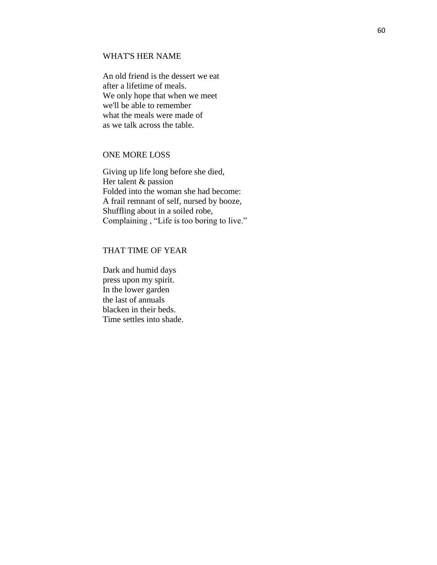# WHAT'S HER NAME

An old friend is the dessert we eat after a lifetime of meals. We only hope that when we meet we'll be able to remember what the meals were made of as we talk across the table.

## ONE MORE LOSS

Giving up life long before she died, Her talent & passion Folded into the woman she had become: A frail remnant of self, nursed by booze, Shuffling about in a soiled robe, Complaining , "Life is too boring to live."

## THAT TIME OF YEAR

Dark and humid days press upon my spirit. In the lower garden the last of annuals blacken in their beds. Time settles into shade.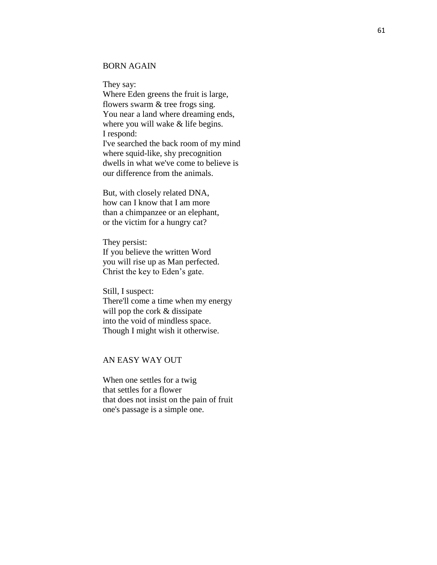#### BORN AGAIN

They say:

Where Eden greens the fruit is large, flowers swarm & tree frogs sing. You near a land where dreaming ends, where you will wake  $&$  life begins. I respond:

I've searched the back room of my mind where squid -like, shy precognition dwells in what we've come to believe is our difference from the animals.

But, with closely related DNA, how can I know that I am more than a chimpanzee or an elephant, or the victim for a hungry cat?

They persist: If you believe the written Word you will rise up as Man perfected. Christ the key to Eden's gate.

Still, I suspect: There'll come a time when my energy will pop the cork & dissipate into the void of mindless space. Though I might wish it otherwise.

#### AN EASY WAY OUT

When one settles for a twig that settles for a flower that does not insist on the pain of fruit one's passage is a simple one.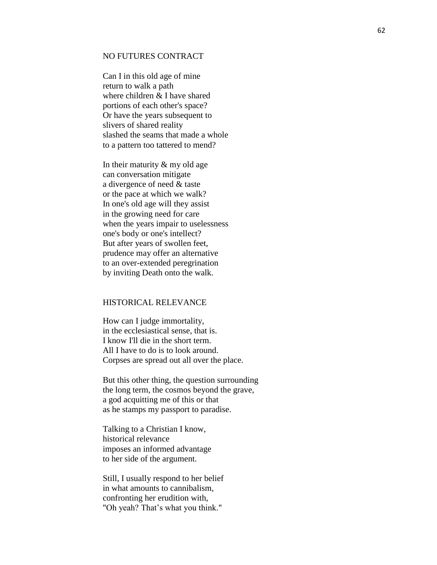#### NO FUTURES CONTRACT

Can I in this old age of mine return to walk a path where children & I have shared portions of each other's space? Or have the years subsequent to slivers of shared reality slashed the seams that made a whole to a pattern too tattered to mend?

In their maturity  $&$  my old age can conversation mitigate a divergence of need & taste or the pace at which we walk? In one's old age will they assist in the growing need for care when the years impair to uselessness one's body or one's intellect? But after years of swollen feet, prudence may offer an alternative to an over -extended peregrination by inviting Death onto the walk.

#### HISTORICAL RELEVANCE

How can I judge immortality, in the ecclesiastical sense, that is. I know I'll die in the short term. All I have to do is to look around. Corpses are spread out all over the place.

But this other thing, the question surrounding the long term, the cosmos beyond the grave, a god acquitting me of this or that as he stamps my passport to paradise.

Talking to a Christian I know, historical relevance imposes an informed advantage to her side of the argument.

Still, I usually respond to her belief in what amounts to cannibalism, confronting her erudition with, "Oh yeah? That's what you think."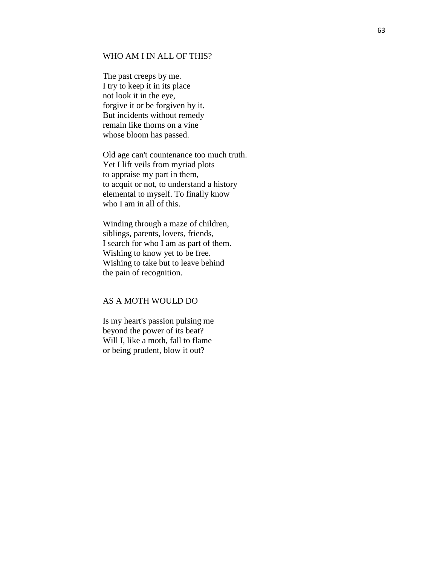#### WHO AM I IN ALL OF THIS?

The past creeps by me. I try to keep it in its place not look it in the eye, forgive it or be forgiven by it. But incidents without remedy remain like thorns on a vine whose bloom has passed.

Old age can't countenance too much truth. Yet I lift veils from myriad plots to appraise my part in them, to acquit or not, to understand a history elemental to myself. To finally know who I am in all of this.

Winding through a maze of children, siblings, parents, lovers, friends, I search for who I am as part of them. Wishing to know yet to be free. Wishing to take but to leave behind the pain of recognition.

## AS A MOTH WOULD DO

Is my heart's passion pulsing me beyond the power of its beat? Will I, like a moth, fall to flame or being prudent, blow it out?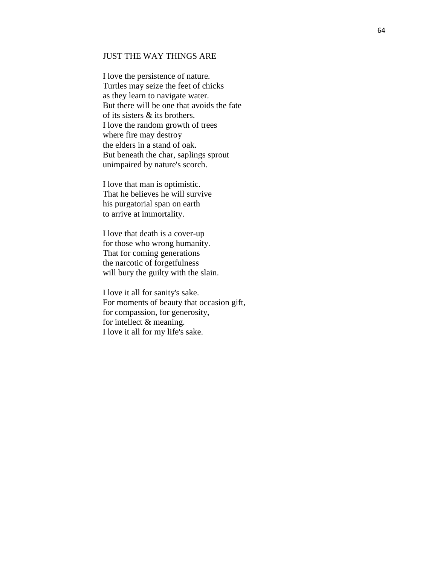## JUST THE WAY THINGS ARE

I love the persistence of nature. Turtles may seize the feet of chicks as they learn to navigate water. But there will be one that avoids the fate of its sisters & its brothers. I love the random growth of trees where fire may destroy the elders in a stand of oak. But beneath the char, saplings sprout unimpaired by nature's scorch.

I love that man is optimistic. That he believes he will survive his purgatorial span on earth to arrive at immortality.

I love that death is a cover -up for those who wrong humanity. That for coming generations the narcotic of forgetfulness will bury the guilty with the slain.

I love it all for sanity's sake. For moments of beauty that occasion gift, for compassion, for generosity, for intellect & meaning. I love it all for my life's sake.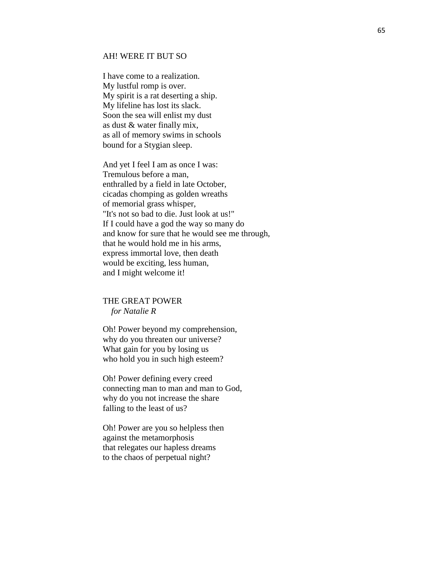## AH! WERE IT BUT SO

I have come to a realization. My lustful romp is over. My spirit is a rat deserting a ship. My lifeline has lost its slack. Soon the sea will enlist my dust as dust & water finally mix, as all of memory swims in schools bound for a Stygian sleep.

And yet I feel I am as once I was: Tremulous before a man, enthralled by a field in late October, cicadas chomping as golden wreaths of memorial grass whisper, "It's not so bad to die. Just look at us!" If I could have a god the way so many do and know for sure that he would see me through, that he would hold me in his arms, express immortal love, then death would be exciting, less human, and I might welcome it!

## THE GREAT POWER  *for Natalie R*

Oh! Power beyond my comprehension, why do you threaten our universe? What gain for you by losing us who hold you in such high esteem?

Oh! Power defining every creed connecting man to man and man to God, why do you not increase the share falling to the least of us?

Oh! Power are you so helpless then against the metamorphosis that relegates our hapless dreams to the chaos of perpetual night?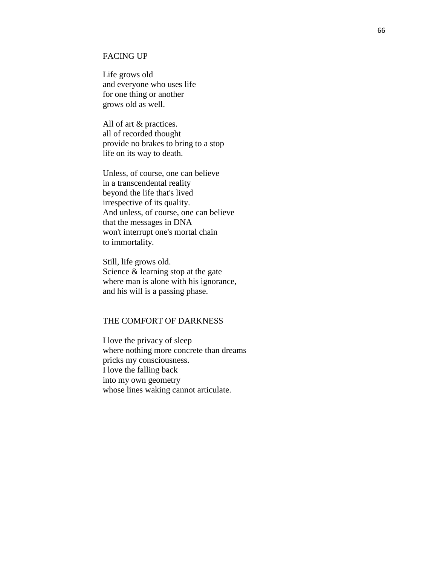## FACING UP

Life grows old and everyone who uses life for one thing or another grows old as well.

All of art & practices. all of recorded thought provide no brakes to bring to a stop life on its way to death.

Unless, of course, one can believe in a transcendental reality beyond the life that's lived irrespective of its quality. And unless, of course, one can believe that the messages in DNA won't interrupt one's mortal chain to immortality.

Still, life grows old. Science & learning stop at the gate where man is alone with his ignorance, and his will is a passing phase.

#### THE COMFORT OF DARKNESS

I love the privacy of sleep where nothing more concrete than dreams pricks my consciousness. I love the falling back into my own geometry whose lines waking cannot articulate.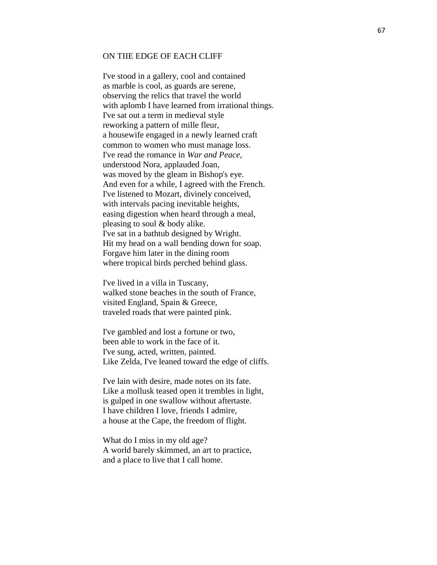#### ON TIIE EDGE OF EACH CLIFF

I've stood in a gallery, cool and contained as marble is cool, as guards are serene, observing the relics that travel the world with aplomb I have learned from irrational things. I've sat out a term in medieval style reworking a pattern of mille fleur, a housewife engaged in a newly learned craft common to women who must manage loss. I've read the romance in *War and Peace,*  understood Nora, applauded Joan, was moved by the gleam in Bishop's eye. And even for a while, I agreed with the French. I've listened to Mozart, divinely conceived, with intervals pacing inevitable heights, easing digestion when heard through a meal, pleasing to soul & body alike. I've sat in a bathtub designed by Wright. Hit my head on a wall bending down for soap. Forgave him later in the dining room where tropical birds perched behind glass.

I've lived in a villa in Tuscany, walked stone beaches in the south of France, visited England, Spain & Greece, traveled roads that were painted pink.

I've gambled and lost a fortune or two, been able to work in the face of it. I've sung, acted, written, painted. Like Zelda, I've leaned toward the edge of cliffs.

I've lain with desire, made notes on its fate. Like a mollusk teased open it trembles in light, is gulped in one swallow without aftertaste. I have children I love, friends I admire, a house at the Cape, the freedom of flight.

What do I miss in my old age? A world barely skimmed, an art to practice, and a place to live that I call home.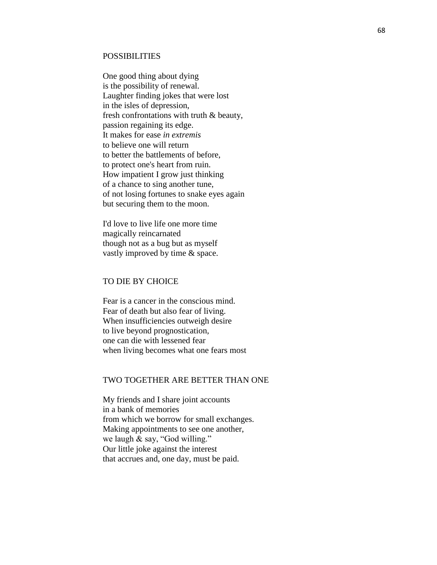## POSSIBILITIES

One good thing about dying is the possibility of renewal. Laughter finding jokes that were lost in the isles of depression, fresh confrontations with truth & beauty, passion regaining its edge. It makes for ease *in extremis*  to believe one will return to better the battlements of before, to protect one's heart from ruin. How impatient I grow just thinking of a chance to sing another tune, of not losing fortunes to snake eyes again but securing them to the moon.

I'd love to live life one more time magically reincarnated though not as a bug but as myself vastly improved by time & space.

#### TO DIE BY CHOICE

Fear is a cancer in the conscious mind. Fear of death but also fear of living. When insufficiencies outweigh desire to live beyond prognostication, one can die with lessened fear when living becomes what one fears most

#### TWO TOGETHER ARE BETTER THAN ONE

My friends and I share joint accounts in a bank of memories from which we borrow for small exchanges. Making appointments to see one another, we laugh & say, "God willing." Our little joke against the interest that accrues and, one day, must be paid.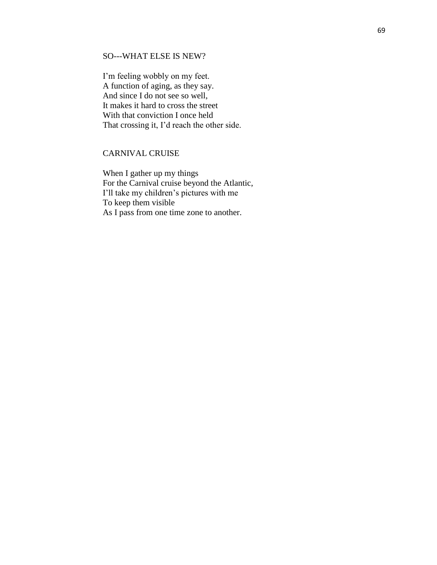## SO---WHAT ELSE IS NEW?

I'm feeling wobbly on my feet. A function of aging, as they say. And since I do not see so well, It makes it hard to cross the street With that conviction I once held That crossing it, I'd reach the other side.

# CARNIVAL CRUISE

When I gather up my things For the Carnival cruise beyond the Atlantic, I'll take my children's pictures with me To keep them visible As I pass from one time zone to another.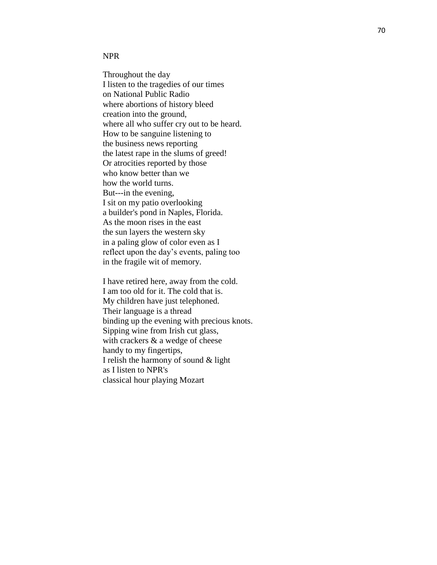## NPR

Throughout the day I listen to the tragedies of our times on National Public Radio where abortions of history bleed creation into the ground, where all who suffer cry out to be heard. How to be sanguine listening to the business news reporting the latest rape in the slums of greed! Or atrocities reported by those who know better than we how the world turns. But---in the evening, I sit on my patio overlooking a builder's pond in Naples, Florida. As the moon rises in the east the sun layers the western sky in a paling glow of color even as I reflect upon the day's events, paling too in the fragile wit of memory.

I have retired here, away from the cold. I am too old for it. The cold that is. My children have just telephoned. Their language is a thread binding up the evening with precious knots. Sipping wine from Irish cut glass, with crackers  $\&$  a wedge of cheese handy to my fingertips, I relish the harmony of sound & light as I listen to NPR's classical hour playing Mozart